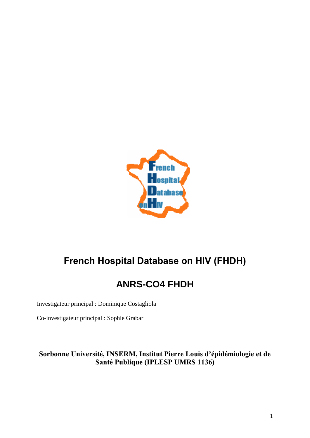

# **French Hospital Database on HIV (FHDH)**

# **ANRS-CO4 FHDH**

Investigateur principal : Dominique Costagliola

Co-investigateur principal : Sophie Grabar

**Sorbonne Université, INSERM, Institut Pierre Louis d'épidémiologie et de Santé Publique (IPLESP UMRS 1136)**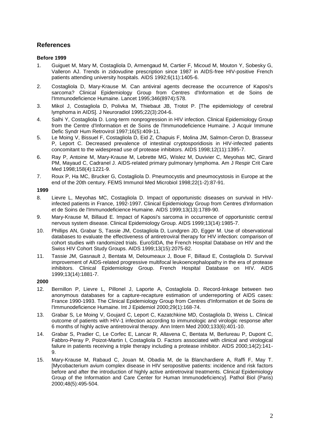## **References**

## **Before 1999**

- 1. Guiguet M, Mary M, Costagliola D, Armengaud M, Cartier F, Micoud M, Mouton Y, Sobesky G, Valleron AJ. Trends in zidovudine prescription since 1987 in AIDS-free HIV-positive French patients attending university hospitals. AIDS 1992;6(11):1405-6.
- 2. Costagliola D, Mary-Krause M. Can antiviral agents decrease the occurrence of Kaposi's sarcoma? Clinical Epidemiology Group from Centres d'Information et de Soins de l'Immunodeficience Humaine. Lancet 1995;346(8974):578.
- 3. Mikol J, Costagliola D, Polivka M, Thiebaut JB, Trotot P. [The epidemiology of cerebral lymphoma in AIDS]. J Neuroradiol 1995;22(3):204-6.
- 4. Salhi Y, Costagliola D. Long-term nonprogression in HIV infection. Clinical Epidemiology Group from the Centre d'Information et de Soins de l'Immunodeficience Humaine. J Acquir Immune Defic Syndr Hum Retrovirol 1997;16(5):409-11.
- 5. Le Moing V, Bissuel F, Costagliola D, Eid Z, Chapuis F, Molina JM, Salmon-Ceron D, Brasseur P, Leport C. Decreased prevalence of intestinal cryptosporidiosis in HIV-infected patients concomitant to the widespread use of protease inhibitors. AIDS 1998;12(11):1395-7.
- 6. Ray P, Antoine M, Mary-Krause M, Lebrette MG, Wislez M, Duvivier C, Meyohas MC, Girard PM, Mayaud C, Cadranel J. AIDS-related primary pulmonary lymphoma. Am J Respir Crit Care Med 1998;158(4):1221-9.
- 7. Roux P, Ha MC, Brucker G, Costagliola D. Pneumocystis and pneumocystosis in Europe at the end of the 20th century. FEMS Immunol Med Microbiol 1998;22(1-2):87-91.

## **1999**

- 8. Lievre L, Meyohas MC, Costagliola D. Impact of opportunistic diseases on survival in HIVinfected patients in France, 1992-1997. Clinical Epidemiology Group from Centres d'Information et de Soins de l'Immunodeficience Humaine. AIDS 1999;13(13):1789-90.
- 9. Mary-Krause M, Billaud E. Impact of Kaposi's sarcoma in occurrence of opportunistic central nervous system disease. Clinical Epidemiology Group. AIDS 1999;13(14):1985-7.
- 10. Phillips AN, Grabar S, Tassie JM, Costagliola D, Lundgren JD, Egger M. Use of observational databases to evaluate the effectiveness of antiretroviral therapy for HIV infection: comparison of cohort studies with randomized trials. EuroSIDA, the French Hospital Database on HIV and the Swiss HIV Cohort Study Groups. AIDS 1999;13(15):2075-82.
- 11. Tassie JM, Gasnault J, Bentata M, Deloumeaux J, Boue F, Billaud E, Costagliola D. Survival improvement of AIDS-related progressive multifocal leukoencephalopathy in the era of protease inhibitors. Clinical Epidemiology Group. French Hospital Database on HIV. AIDS 1999;13(14):1881-7.

- 12. Bernillon P, Lievre L, Pillonel J, Laporte A, Costagliola D. Record-linkage between two anonymous databases for a capture-recapture estimation of underreporting of AIDS cases: France 1990-1993. The Clinical Epidemiology Group from Centres d'Information et de Soins de l'Immunodeficience Humaine. Int J Epidemiol 2000;29(1):168-74.
- 13. Grabar S, Le Moing V, Goujard C, Leport C, Kazatchkine MD, Costagliola D, Weiss L. Clinical outcome of patients with HIV-1 infection according to immunologic and virologic response after 6 months of highly active antiretroviral therapy. Ann Intern Med 2000;133(6):401-10.
- 14. Grabar S, Pradier C, Le Corfec E, Lancar R, Allavena C, Bentata M, Berlureau P, Dupont C, Fabbro-Peray P, Poizot-Martin I, Costagliola D. Factors associated with clinical and virological failure in patients receiving a triple therapy including a protease inhibitor. AIDS 2000;14(2):141- 9.
- 15. Mary-Krause M, Rabaud C, Jouan M, Obadia M, de la Blanchardiere A, Raffi F, May T. [Mycobacterium avium complex disease in HIV seropositive patients: incidence and risk factors before and after the introduction of highly active antiretroviral treatments. Clinical Epidemiology Group of the Information and Care Center for Human Immunodeficiency]. Pathol Biol (Paris) 2000;48(5):495-504.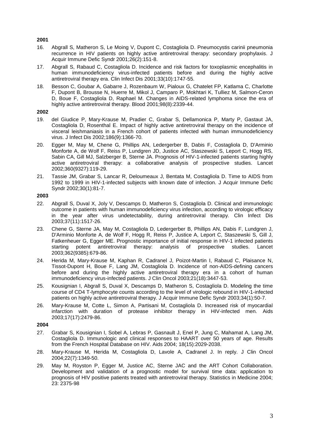- 16. Abgrall S, Matheron S, Le Moing V, Dupont C, Costagliola D. Pneumocystis carinii pneumonia recurrence in HIV patients on highly active antiretroviral therapy: secondary prophylaxis. J Acquir Immune Defic Syndr 2001;26(2):151-8.
- 17. Abgrall S, Rabaud C, Costagliola D. Incidence and risk factors for toxoplasmic encephalitis in human immunodeficiency virus-infected patients before and during the highly active antiretroviral therapy era. Clin Infect Dis 2001;33(10):1747-55.
- 18. Besson C, Goubar A, Gabarre J, Rozenbaum W, Pialoux G, Chatelet FP, Katlama C, Charlotte F, Dupont B, Brousse N, Huerre M, Mikol J, Camparo P, Mokhtari K, Tulliez M, Salmon-Ceron D, Boue F, Costagliola D, Raphael M. Changes in AIDS-related lymphoma since the era of highly active antiretroviral therapy. Blood 2001;98(8):2339-44.

#### **2002**

- 19. del Giudice P, Mary-Krause M, Pradier C, Grabar S, Dellamonica P, Marty P, Gastaut JA, Costagliola D, Rosenthal E. Impact of highly active antiretroviral therapy on the incidence of visceral leishmaniasis in a French cohort of patients infected with human immunodeficiency virus. J Infect Dis 2002;186(9):1366-70.
- 20. Egger M, May M, Chene G, Phillips AN, Ledergerber B, Dabis F, Costagliola D, D'Arminio Monforte A, de Wolf F, Reiss P, Lundgren JD, Justice AC, Staszewski S, Leport C, Hogg RS, Sabin CA, Gill MJ, Salzberger B, Sterne JA. Prognosis of HIV-1-infected patients starting highly active antiretroviral therapy: a collaborative analysis of prospective studies. Lancet 2002;360(9327):119-29.
- 21. Tassie JM, Grabar S, Lancar R, Deloumeaux J, Bentata M, Costagliola D. Time to AIDS from 1992 to 1999 in HIV-1-infected subjects with known date of infection. J Acquir Immune Defic Syndr 2002;30(1):81-7.

## **2003**

- 22. Abgrall S, Duval X, Joly V, Descamps D, Matheron S, Costagliola D. Clinical and immunologic outcome in patients with human immunodeficiency virus infection, according to virologic efficacy in the year after virus undetectability, during antiretroviral therapy. Clin Infect Dis 2003;37(11):1517-26.
- 23. Chene G, Sterne JA, May M, Costagliola D, Ledergerber B, Phillips AN, Dabis F, Lundgren J, D'Arminio Monforte A, de Wolf F, Hogg R, Reiss P, Justice A, Leport C, Staszewski S, Gill J, Fatkenheuer G, Egger ME. Prognostic importance of initial response in HIV-1 infected patients starting potent antiretroviral therapy: analysis of prospective studies. Lancet 2003;362(9385):679-86.
- 24. Herida M, Mary-Krause M, Kaphan R, Cadranel J, Poizot-Martin I, Rabaud C, Plaisance N, Tissot-Dupont H, Boue F, Lang JM, Costagliola D. Incidence of non-AIDS-defining cancers before and during the highly active antiretroviral therapy era in a cohort of human immunodeficiency virus-infected patients. J Clin Oncol 2003;21(18):3447-53.
- 25. Kousignian I, Abgrall S, Duval X, Descamps D, Matheron S, Costagliola D. Modeling the time course of CD4 T-lymphocyte counts according to the level of virologic rebound in HIV-1-infected patients on highly active antiretroviral therapy. J Acquir Immune Defic Syndr 2003;34(1):50-7.
- 26. Mary-Krause M, Cotte L, Simon A, Partisani M, Costagliola D. Increased risk of myocardial infarction with duration of protease inhibitor therapy in HIV-infected men. Aids 2003;17(17):2479-86.

- 27. Grabar S, Kousignian I, Sobel A, Lebras P, Gasnault J, Enel P, Jung C, Mahamat A, Lang JM, Costagliola D. Immunologic and clinical responses to HAART over 50 years of age. Results from the French Hospital Database on HIV. Aids 2004; 18(15):2029-2038.
- 28. Mary-Krause M, Herida M, Costagliola D, Lavole A, Cadranel J. In reply. J Clin Oncol 2004;22(7):1349-50.
- 29. May M, Royston P, Egger M, Justice AC, Sterne JAC and the ART Cohort Collaboration. Development and validation of a prognostic model for survival time data: application to prognosis of HIV positive patients treated with antiretroviral therapy. Statistics in Medicine 2004; 23: 2375-98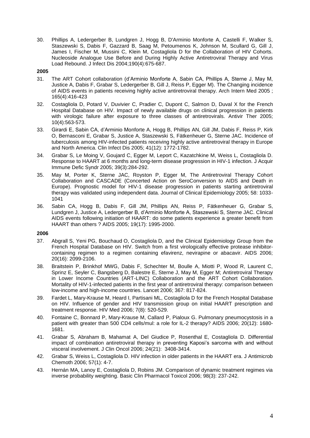30. Phillips A, Ledergerber B, Lundgren J, Hogg B, D'Arminio Monforte A, Castelli F, Walker S, Staszewski S, Dabis F, Gazzard B, Saag M, Petoumenos K, Johnson M, Scullard G, Gill J, James I, Fischer M, Mussini C, Klein M, Costagliola D for the Collaboration of HIV Cohorts. Nucleoside Analogue Use Before and During Highly Active Antiretroviral Therapy and Virus Load Rebound. J Infect Dis 2004;190(4):675-687.

#### **2005**

- 31. The ART Cohort collaboration (d'Arminio Monforte A, Sabin CA, Phillips A, Sterne J, May M, Justice A, Dabis F, Grabar S, Ledergerber B, Gill J, Reiss P, Egger M). The Changing incidence of AIDS events in patients receiving highly active antiretroviral therapy. Arch Intern Med 2005 ; 165(4):416-423
- 32. Costagliola D, Potard V, Duvivier C, Pradier C, Dupont C, Salmon D, Duval X for the French Hospital Database on HIV. Impact of newly available drugs on clinical progression in patients with virologic failure after exposure to three classes of antiretrovirals. Antivir Ther 2005; 10(4):563-573.
- 33. Girardi E, Sabin CA, d'Arminio Monforte A, Hogg B, Phillips AN, Gill JM, Dabis F, Reiss P, Kirk O, Bernasconi E, Grabar S, Justice A, Staszewski S, Fätkenheuer G, Sterne JAC. Incidence of tuberculosis among HIV-infected patients receiving highly active antiretroviral therapy in Europe and North America. Clin Infect Dis 2005; 41(12): 1772-1782.
- 34. Grabar S, Le Moing V, Goujard C, Egger M, Leport C, Kazatchkine M, Weiss L, Costagliola D. Response to HAART at 6 months and long-term disease progression in HIV-1 infection. J Acquir Immune Defic Syndr 2005; 39(3):284-292.
- 35. May M, Porter K, Sterne JAC, Royston P, Egger M, The Antiretroviral Therapy Cohort Collaboration and CASCADE (Concerted Action on SeroConversion to AIDS and Death in Europe). Prognostic model for HIV-1 disease progression in patients starting antiretroviral therapy was validated using independent data. Journal of Clinical Epidemiology 2005; 58: 1033- 1041
- 36. Sabin CA, Hogg B, Dabis F, Gill JM, Phillips AN, Reiss P, Fätkenheuer G, Grabar S, Lundgren J, Justice A, Ledergerber B, d'Arminio Monforte A, Staszewski S, Sterne JAC. Clinical AIDS events following initiation of HAART: do some patients experience a greater benefit from HAART than others ? AIDS 2005; 19(17): 1995-2000.

- 37. Abgrall S, Yeni PG, Bouchaud O, Costagliola D, and the Clinical Epidemiology Group from the French Hospital Database on HIV. Switch from a first virologically effective protease inhibitorcontaining regimen to a regimen containing efavirenz, nevirapine or abacavir. AIDS 2006; 20(16): 2099-2106.
- 38. Braitstein P, Brinkhof MWG, Dabis F, Schechter M, Boulle A, Miotti P, Wood R, Laurent C, Sprinz E, Seyler C, Bangsberg D, Balestre E, Sterne J, May M, Egger M; Antiretroviral Therapy in Lower Income Countries (ART-LINC) Collaboration and the ART Cohort Collaboration. Mortality of HIV-1-infected patients in the first year of antiretroviral therapy: comparison between low-income and high-income countries. Lancet 2006; 367: 817-824.
- 39. Fardet L, Mary-Krause M, Heard I, Partisani ML, Costagliola D for the French Hospital Database on HIV. Influence of gender and HIV transmission group on initial HAART prescription and treatment response. HIV Med 2006; 7(8): 520-529.
- 40. Fontaine C, Bonnard P, Mary-Krause M, Callard P, Pialoux G. Pulmonary pneumocystosis in a patient with greater than 500 CD4 cells/mul: a role for IL-2 therapy? AIDS 2006; 20(12): 1680- 1681.
- 41. Grabar S, Abraham B, Mahamat A, Del Giudice P, Rosenthal E, Costagliola D. Differential impact of combination antiretroviral therapy in preventing Kaposi's sarcoma with and without visceral involvement. J Clin Oncol 2006; 24(21): 3408-3414.
- 42. Grabar S, Weiss L, Costagliola D. HIV infection in older patients in the HAART era. J Antimicrob Chemoth 2006; 57(1): 4-7.
- 43. Hernán MA, Lanoy E, Costagliola D, Robins JM. Comparison of dynamic treatment regimes via inverse probability weighting. Basic Clin Pharmacol Toxicol 2006; 98(3): 237-242.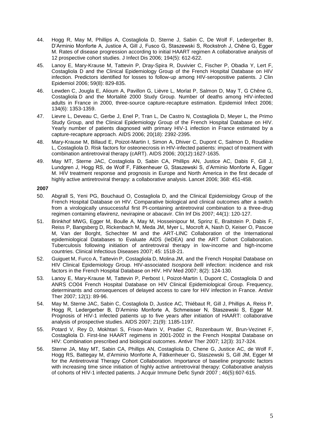- 44. Hogg R, May M, Phillips A, Costagliola D, Sterne J, Sabin C, De Wolf F, Ledergerber B, D'Arminio Monforte A, Justice A, Gill J, Fusco G, Staszewski S, Rockstroh J, Chêne G, Egger M. Rates of disease progression according to initial HAART regimen A collaborative analysis of 12 prospective cohort studies. J Infect Dis 2006; 194(5): 612-622.
- 45. Lanoy E, Mary-Krause M, Tattevin P, Dray-Spira R, Duvivier C, Fischer P, Obadia Y, Lert F, Costagliola D and the Clinical Epidemiology Group of the French Hospital Database on HIV infection. Predictors identified for losses to follow-up among HIV-seropositive patients. J Clin Epidemiol 2006; 59(8): 829-835.
- 46. Lewden C, Jougla E, Alioum A, Pavillon G, Lièvre L, Morlat P, Salmon D, May T, G Chêne G, Costagliola D and the Mortalité 2000 Study Group. Number of deaths among HIV-infected adults in France in 2000, three-source capture-recapture estimation. Epidemiol Infect 2006; 134(6): 1353-1359.
- 47. Lievre L, Deveau C, Gerbe J, Enel P, Tran L, De Castro N, Costagliola D, Meyer L, the Primo Study Group, and the Clinical Epidemiology Group of the French Hospital Database on HIV. Yearly number of patients diagnosed with primary HIV-1 infection in France estimated by a capture-recapture approach. AIDS 2006; 20(18): 2392-2395.
- 48. Mary-Krause M, Billaud E, Poizot-Martin I, Simon A, Dhiver C, Dupont C, Salmon D, Roudière L, Costagliola D. Risk factors for osteonecrosis in HIV-infected patients: impact of treatment with combination antiretroviral therapy (cART). AIDS 2006; 20(12):1627-1635.
- 49. May MT, Sterne JAC, Costagliola D, Sabin CA, Phillips AN, Justice AC, Dabis F, Gill J, Lundgren J, Hogg RS, de Wolf F, Fätkenheuer G, Staszewski S, d'Arminio Monforte A, Egger M. HIV treatment response and prognosis in Europe and North America in the first decade of highly active antiretroviral therapy: a collaborative analysis. Lancet 2006; 368: 451-458.

- 50. Abgrall S, Yeni PG, Bouchaud O, Costagliola D, and the Clinical Epidemiology Group of the French Hospital Database on HIV. Comparative biological and clinical outcomes after a switch from a virologically unsuccessful first PI-containing antiretroviral combination to a three-drug regimen containing efavirenz, nevirapine or abacavir. Clin Inf Dis 2007; 44(1): 120-127.
- 51. Brinkhof MWG, Egger M, Boulle A, May M, Hosseinipour M, Sprinz E, Braitstein P, Dabis F, Reiss P, Bangsberg D, Rickenbach M, Meda JM, Myer L, Mocroft A, Nash D, Keiser O, Pascoe M, Van der Borght, Schechter M and the ART-LINC Collaboration of the International epidemiological Databases to Evaluate AIDS (IeDEA) and the ART Cohort Collaboration. Tuberculosis following initiation of antiretroviral therapy in low-income and high-income countries. Clinical Infectious Diseases 2007; 45: 1518-21.
- 52. Guiguet M, Furco A, Tattevin P, Costagliola D, Molina JM, and the French Hospital Database on HIV Clinical Epidemiology Group. HIV-associated *Isospora belli* infection: incidence and risk factors in the French Hospital Database on HIV. HIV Med 2007; 8(2): 124-130.
- 53. Lanoy E, Mary-Krause M, Tattevin P, Perbost I, Poizot-Martin I, Dupont C, Costagliola D and ANRS CO04 French Hospital Database on HIV Clinical Epidemiological Group. Frequency, determinants and consequences of delayed access to care for HIV infection in France. Antivir Ther 2007; 12(1): 89-96.
- 54. May M, Sterne JAC, Sabin C, Costagliola D, Justice AC, Thiébaut R, Gill J, Phillips A, Reiss P, Hogg R, Ledergerber B, D'Arminio Monforte A, Schmeisser N, Staszewski S, Egger M. Prognosis of HIV-1 infected patients up to five years after initiation of HAART: collaborative analysis of prospective studies. AIDS 2007; 21(9): 1185-1197.
- 55. Potard V, Rey D, Mokhtari S, Frixon-Marin V, Pradier C, Rozenbaum W, Brun-Vezinet F, Costagliola D. First-line HAART regimens in 2001-2002 in the French Hospital Database on HIV: Combination prescribed and biological outcomes. Antivir Ther 2007; 12(3): 317-324.
- 56. Sterne JA, May MT, Sabin CA, Phillips AN, Costagliola D, Chene G, Justice AC, de Wolf F, Hogg RS, Battegay M, d'Arminio Monforte A, Fätkenheuer G, Staszewski S, Gill JM, Egger M for the Antiretroviral Therapy Cohort Collaboration. Importance of baseline prognostic factors with increasing time since initiation of highly active antiretroviral therapy: Collaborative analysis of cohorts of HIV-1 infected patients. J Acquir Immune Defic Syndr 2007 ; 46(5):607-615.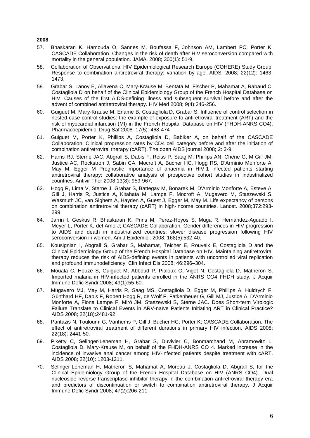- 57. Bhaskaran K, Hamouda O, Sannes M, Boufassa F, Johnson AM, Lambert PC, Porter K; CASCADE Collaboration. Changes in the risk of death after HIV seroconversion compared with mortality in the general population. JAMA. 2008; 300(1): 51-9.
- 58. Collaboration of Observational HIV Epidemiological Research Europe (COHERE) Study Group. Response to combination antiretroviral therapy: variation by age. AIDS. 2008; 22(12): 1463- 1473.
- 59. Grabar S, Lanoy E, Allavena C, Mary-Krause M, Bentata M, Fischer P, Mahamat A, Rabaud C, Costagliola D on behalf of the Clinical Epidemiology Group of the French Hospital Database on HIV. Causes of the first AIDS-defining illness and subsequent survival before and after the advent of combined antiretroviral therapy. HIV Med 2008; 9(4):246-256.
- 60. Guiguet M, Mary-Krause M, Ename B, Costagliola D, Grabar S. Influence of control selection in nested case-control studies: the example of exposure to antiretroviral treatment (ART) and the risk of myocardial infarction (MI) in the French Hospital Database on HIV (FHDH-ANRS CO4). Pharmacoepidemiol Drug Saf 2008 17(5): 468-474
- 61. Guiguet M, Porter K, Phillips A, Costagliola D, Babiker A, on behalf of the CASCADE Collaboration. Clinical progression rates by CD4 cell category before and after the initiation of combination antiretroviral therapy (cART). The open AIDS journal 2008; 2: 3-9.
- 62. Harris RJ, Sterne JAC, Abgrall S, Dabis F, Reiss P, Saag M, Phillips AN, Chêne G, M Gill JM, Justice AC, Rockstroh J, Sabin CA, Mocroft A, Bucher HC, Hogg RS, D'Arminio Monforte A, May M, Egger M Prognostic importance of anaemia in HIV-1 infected patients starting antiretroviral therapy: collaborative analysis of prospective cohort studies in industrialized countries. Antivir Ther 2008;13(8): 959-967.
- 63. Hogg R, Lima V, Sterne J, Grabar S, Battegay M, Bonarek M, D'Arminio Monforte A, Esteve A, Gill J, Harris R, Justice A, Kitahata M, Lampe F, Mocroft A, Mugavero M, Staszewski S, Wasmuth JC, van Sighem A, Hayden A, Guest J, Egger M, May M. Life expectancy of persons on combination antiretroviral therapy (cART) in high-income countries. Lancet. 2008;372:293- 299
- 64. Jarrin I, Geskus R, Bhaskaran K, Prins M, Perez-Hoyos S, Muga R, Hernández-Aguado I, Meyer L, Porter K, del Amo J; CASCADE Collaboration. Gender differences in HIV progression to AIDS and death in industrialized countries: slower disease progression following HIV seroconversion in women. Am J Epidemiol. 2008; 168(5):532-40.
- 65. Kousignian I, Abgrall S, Grabar S, Mahamat, Teicher E, Rouveix E, Costagliola D and the Clinical Epidemiology Group of the French Hospital Database on HIV. Maintaining antiretroviral therapy reduces the risk of AIDS-defining events in patients with uncontrolled viral replication and profound immunodeficiency. Clin Infect Dis 2008; 46:296–304.
- 66. Mouala C, Houzé S, Guiguet M, Abboud P, Pialoux G, Viget N, Costagliola D, Matheron S. Imported malaria in HIV-infected patients enrolled in the ANRS CO4 FHDH study. J Acquir Immune Defic Syndr 2008; 49(1):55-60.
- 67. Mugavero MJ, May M, Harris R, Saag MS, Costagliola D, Egger M, Phillips A, Huldrych F. Günthard HF, Dabis F, Robert Hogg R, de Wolf F, Fatkenheuer G, Gill MJ, Justice A, D'Arminio Monforte A, Fiona Lampe F, Miró JM, Staszewski S, Sterne JAC. Does Short-term Virologic Failure Translate to Clinical Events in ARV-naïve Patients Initiating ART in Clinical Practice? AIDS 2008; 22(18):2481-92.
- 68. Pantazis N, Touloumi G, Vanhems P, Gill J, Bucher HC, Porter K; CASCADE Collaboration. The effect of antiretroviral treatment of different durations in primary HIV infection. AIDS 2008; 22(18): 2441-50.
- 69. Piketty C, Selinger-Leneman H, Grabar S, Duvivier C, Bonmarchand M, Abramowitz L, Costagliola D, Mary-Krause M, on behalf of the FHDH-ANRS CO 4. Marked increase in the incidence of invasive anal cancer among HIV-infected patients despite treatment with cART. AIDS 2008; 22(10): 1203-1211.
- 70. Selinger-Leneman H, Matheron S, Mahamat A, Moreau J, Costagliola D, Abgrall S, for the Clinical Epidemiology Group of the French Hospital Database on HIV (ANRS CO4). Dual nucleoside reverse transcriptase inhibitor therapy in the combination antiretroviral therapy era and predictors of discontinuation or switch to combination antiretroviral therapy. J Acquir Immune Defic Syndr 2008; 47(2):206-211.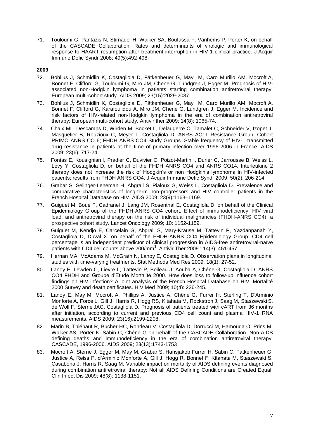71. Touloumi G, Pantazis N, Stirnadel H, Walker SA, Boufassa F, Vanhems P, Porter K, on behalf of the CASCADE Collaboration. Rates and determinants of virologic and immunological response to HAART resumption after treatment interruption in HIV-1 clinical practice. J Acquir Immune Defic Syndr 2008; 49(5):492-498.

- 72. Bohlius J, Schmidlin K, Costagliola D, Fätkenheuer G, May M, Caro Murillo AM, Mocroft A, Bonnet F, Clifford G, Touloumi G, Miro JM, Chene G, Lundgren J, Egger M. Prognosis of HIVassociated non-Hodgkin lymphoma in patients starting combination antiretroviral therapy: European multi-cohort study. AIDS 2009; 23(15):2029-2037.
- 73. Bohlius J, Schmidlin K, Costagliola D, Fätkenheuer G, May M, Caro Murillo AM, Mocroft A, Bonnet F, Clifford G, Karafoulidou A, Miro JM, Chene G, Lundgren J, Egger M. Incidence and risk factors of HIV-related non-Hodgkin lymphoma in the era of combination antiretroviral therapy: European multi-cohort study. Antivir ther 2009; 14(8): 1065-74.
- 74. Chaix ML, Descamps D, Wirden M, Bocket L, Delaugerre C, Tamalet C, Schneider V, Izopet J, Masquelier B, Rouzioux C, Meyer L, Costagliola D; ANRS AC11 Resistance Group; Cohort PRIMO ANRS CO 6; FHDH ANRS CO4 Study Groups. Stable frequency of HIV-1 transmitted drug resistance in patients at the time of primary infection over 1996-2006 in France. AIDS 2009; 23(6): 717-24
- 75. Fontas E, Kousignian I, Pradier C, Duvivier C, Poizot-Martin I, Durier C, Jarrousse B, Weiss L, Levy Y, Costagliola D, on behalf of the FHDH ANRS CO4 and ANRS CO14. Interleukine 2 therapy does not increase the risk of Hodgkin's or non Hodgkin's lymphoma in HIV-infected patients; results from FHDH ANRS CO4. J Acquir Immune Defic Syndr 2009; 50(2): 206-214.
- 76. Grabar S, Selinger-Leneman H, Abgrall S, Pialoux G, Weiss L, Costagliola D. Prevalence and comparative characteristics of long-term non-progressors and HIV controller patients in the French Hospital Database on HIV. AIDS 2009; 23(9)*:*1163–1169.
- 77. Guiguet M, Boué F, Cadranel J, Lang JM, Rosenthal E, Costagliola D, on behalf of the Clinical Epidemiology Group of the FHDH-ANRS CO4 cohort. Effect of immunodeficiency, HIV viral load, and antiretroviral therapy on the risk of individual malignancies (FHDH-ANRS CO4): a prospective cohort study. Lancet Oncology 2009; 10: 1152-1159.
- 78. Guiguet M, Kendjo E, Carcelain G, Abgrall S, Mary-Krause M, Tattevin P, Yazdanpanah Y, Costagliola D, Duval X, on behalf of the FHDH-ANRS CO4 Epidemiology Group. CD4 cell percentage is an independent predictor of clinical progression in AIDS-free antiretroviral-naïve patients with CD4 cell counts above 200/mm<sup>3</sup>. Antivir Ther 2009 ; 14(3): 451-457.
- 79. Hernan MA, McAdams M, McGrath N, Lanoy E, Costagliola D. Observation plans in longitudinal studies with time-varying treatments. Stat Methods Med Res 2009; 18(1): 27-52.
- 80. Lanoy E, Lewden C, Lièvre L, Tattevin P, Boileau J, Aouba A, Chêne G, Costagliola D, ANRS CO4 FHDH and Groupe d'Etude Mortalité 2000. How does loss to follow-up influence cohort findings on HIV infection? A joint analysis of the French Hospital Database on HIV, Mortalité 2000 Survey and death certificates. HIV Med 2009; 10(4): 236-245.
- 81. Lanoy E, May M, Mocroft A, Phillips A, Justice A, Chêne G, Furrer H, Sterling T, D'Arminio Monforte A, Force L, Gill J, Harris R, Hogg RS, Kitahata M, Rockstroh J, Saag M, Staszewski S, de Wolf F, Sterne JAC, Costagliola D. Prognosis of patients treated with cART from 36 months after initiation, according to current and previous CD4 cell count and plasma HIV-1 RNA measurements. AIDS 2009; 23(16):2199-2208.
- 82. Marin B, Thiébaut R, Bucher HC, Rondeau V, Costagliola D, Dorrucci M, Hamouda O, Prins M, Walker AS, Porter K, Sabin C, Chêne G on behalf of the CASCADE Collaboration. Non-AIDS defining deaths and immunodeficiency in the era of combination antiretroviral therapy. CASCADE, 1996-2006. AIDS 2009; 23(13):1743-1753
- 83. Mocroft A, Sterne J, Egger M, May M, Grabar S, Hansjakob Furrer H, Sabin C, Fatkenheuer G, Justice A, Reiss P, d'Arminio Monforte A, Gill J, Hogg R, Bonnet F, Kitahata M, Staszewski S, Casabona J, Harris R, Saag M. Variable impact on mortality of AIDS defining events diagnosed during combination antiretroviral therapy: Not all AIDS Defining Conditions are Created Equal. Clin Infect Dis 2009; 48(8): 1138-1151.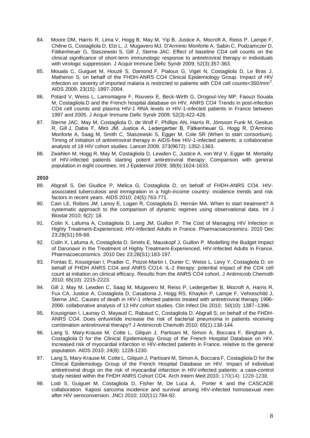- 84. Moore DM, Harris R, Lima V, Hogg B, May M, Yip B, Justice A, Mocroft A, Reiss P, Lampe F, Chêne G, Costagliola D, Elzi L, J. Mugavero MJ, D'Arminio Monforte A, Sabin C, Podzamczer D, Fätkenheuer G, Staszewski S, Gill J, Sterne JAC. Effect of baseline CD4 cell counts on the clinical significance of short-term immunologic response to antiretroviral therapy in individuals with virologic suppression. J Acquir Immune Defic Syndr 2009; 52(3):357-363.
- 85. Mouala C, Guiguet M, Houzé S, Damond F, Pialoux G, Viget N, Costagliola D, Le Bras J, Matheron S, on behalf of the FHDH-ANRS CO4 Clinical Epidemiology Group. Impact of HIV infection on severity of imported malaria is restricted to patients with CD4 cell counts<350/mm<sup>3</sup>. AIDS 2009; 23(15): 1997-2004.
- 86. Potard V, Weiss L, Lamontagne F, Rouveix E, Beck-Wirth G, Drogoul-Vey MP, Faouzi Souala M, Costagliola D and the French hospital database on HIV, ANRS CO4. Trends in post-infection CD4 cell counts and plasma HIV-1 RNA levels in HIV-1-infected patients in France between 1997 and 2005. J Acquir Immune Defic Syndr 2009; 52(3):422-426.
- 87. Sterne JAC, May M, Costagliola D, de Wolf F, Phillips AN, Harris R, Jönsson Funk M, Geskus R, Gill J, Dabis F, Miró JM, Justice A, Ledergerber B, Fätkenheuer G, Hogg R, D'Arminio Monforte A, Saag M, Smith C, Staszewski S, Egger M, Cole SR (When to start consortium). Timing of initiation of antiretroviral therapy in AIDS-free HIV-1-infected patients: a collaborative analysis of 18 HIV cohort studies. Lancet 2009; 373(9672): 1352-1363.
- 88. Zwahlen M, Hogg R, May M, Costagliola D, Lewden C, Justice A, von Wyl V, Egger M. Mortality of HIV-infected patients starting potent antiretroviral therapy: Comparison with general population in eight countries. Int J Epidemiol 2009; 38(6):1624-1633.

- 89. Abgrall S, Del Giudice P, Melica G, Costagliola D, on behalf of FHDH-ANRS CO4. HIVassociated tuberculosis and immigration in a high-income country: incidence trends and risk factors in recent years. AIDS 2010; 24(5):763-771.
- 90. Cain LE, Robins JM, Lanoy E, Logan R, Costagliola D, Hernán MA. When to start treatment? A systematic approach to the comparison of dynamic regimes using observational data. Int J Biostat 2010; 6(2): 18.
- 91. Colin X, Lafuma A, Costagliola D, Lang JM, Guillon P. [The Cost of Managing HIV Infection in](http://www.ncbi.nlm.nih.gov/pubmed/21182344)  [Highly Treatment-Experienced, HIV-Infected Adults in France.](http://www.ncbi.nlm.nih.gov/pubmed/21182344) Pharmacoeconomics. 2010 Dec 23;28(S1):59-68.
- 92. Colin X, Lafuma A, Costagliola D, Smets E, Mauskopf J, Guillon P. [Modelling the Budget Impact](http://www.ncbi.nlm.nih.gov/pubmed/21182351)  of [Darunavir in the Treatment of Highly Treatment-Experienced, HIV-Infected Adults in France.](http://www.ncbi.nlm.nih.gov/pubmed/21182351) Pharmacoeconomics. 2010 Dec 23;28(S1):183-197.
- 93. Fontas E, Kousignian I, Pradier C, Poizot-Martin I, Durier C, Weiss L, Levy Y, Costagliola D, on behalf of FHDH ANRS CO4 and ANRS CO14. IL-2 therapy: potential impact of the CD4 cell count at initiation on clinical efficacy. Results from the ANRS CO4 cohort. J Antimicrob Chemoth 2010; 65(10): 2215-2223.
- 94. Gill J, May M, Lewden C, Saag M, Mugavero M, Reiss P, Ledergerber B, Mocroft A, Harris R, Fux CA, Justice A, Costagliola D, Casabona J, Hogg RS, Khaykin P, Lampe F, Vehreschild J, Sterne JAC. Causes of death in HIV-1 infected patients treated with antiretroviral therapy 1996- 2006: collaborative analysis of 13 HIV cohort studies. Clin Infect Dis 2010; 50(10): 1387–1396.
- 95. [Kousignian I,](http://www.ncbi.nlm.nih.gov/pubmed?term=%22Kousignian%20I%22%5BAuthor%5D&itool=EntrezSystem2.PEntrez.Pubmed.Pubmed_ResultsPanel.Pubmed_RVAbstract) [Launay O,](http://www.ncbi.nlm.nih.gov/pubmed?term=%22Launay%20O%22%5BAuthor%5D&itool=EntrezSystem2.PEntrez.Pubmed.Pubmed_ResultsPanel.Pubmed_RVAbstract) [Mayaud C,](http://www.ncbi.nlm.nih.gov/pubmed?term=%22Mayaud%20C%22%5BAuthor%5D&itool=EntrezSystem2.PEntrez.Pubmed.Pubmed_ResultsPanel.Pubmed_RVAbstract) [Rabaud C,](http://www.ncbi.nlm.nih.gov/pubmed?term=%22Rabaud%20C%22%5BAuthor%5D&itool=EntrezSystem2.PEntrez.Pubmed.Pubmed_ResultsPanel.Pubmed_RVAbstract) [Costagliola D,](http://www.ncbi.nlm.nih.gov/pubmed?term=%22Costagliola%20D%22%5BAuthor%5D&itool=EntrezSystem2.PEntrez.Pubmed.Pubmed_ResultsPanel.Pubmed_RVAbstract) [Abgrall S;](http://www.ncbi.nlm.nih.gov/pubmed?term=%22Abgrall%20S%22%5BAuthor%5D&itool=EntrezSystem2.PEntrez.Pubmed.Pubmed_ResultsPanel.Pubmed_RVAbstract) [on behalf of the FHDH-](http://www.ncbi.nlm.nih.gov/pubmed?term=%22on%20behalf%20of%20the%20FHDH-ANRS%20CO4%22%5BCorporate%20Author%5D&itool=EntrezSystem2.PEntrez.Pubmed.Pubmed_ResultsPanel.Pubmed_RVAbstract)[ANRS CO4.](http://www.ncbi.nlm.nih.gov/pubmed?term=%22on%20behalf%20of%20the%20FHDH-ANRS%20CO4%22%5BCorporate%20Author%5D&itool=EntrezSystem2.PEntrez.Pubmed.Pubmed_ResultsPanel.Pubmed_RVAbstract) Does enfuvirtide increase the risk of bacterial pneumonia in patients receiving combination antiretroviral therapy? J Antimicrob Chemoth 2010; 65(1):138-144.
- 96. Lang S, Mary-Krause M, Cotte L, Gilquin J, Partisani M, Simon A, Boccara F, Bingham A, Costagliola D for the Clinical Epidemiology Group of the French Hospital Database on HIV. Increased risk of myocardial infarction in HIV-infected patients in France, relative to the general population. AIDS 2010; 24(8): 1228-1230.
- 97. Lang S, Mary-Krause M, Cotte L, Gilquin J, Partisani M, Simon A, Boccara F, Costagliola D for the Clinical Epidemiology Group of the French Hospital Database on HIV. Impact of individual antiretroviral drugs on the risk of myocardial infarction in HIV-infected patients: a case-control study nested within the FHDH ANRS Cohort CO4. Arch Intern Med 2010; 170(14): 1228-1238.
- 98. Lodi S, Guiguet M, Costagliola D, Fisher M, De Luca A, Porter K and the CASCADE collaboration. Kaposi sarcoma incidence and survival among HIV-infected homosexual men after HIV seroconversion. JNCI 2010; 102(11):784-92.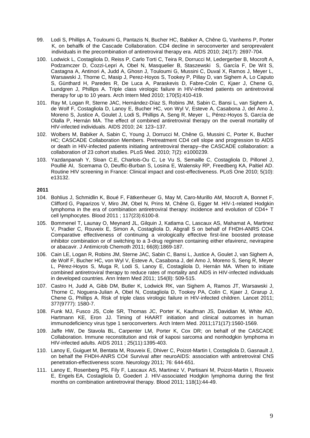- 99. Lodi S, Phillips A, Touloumi G, Pantazis N, Bucher HC, Babiker A, Chêne G, Vanhems P, Porter K, on behalfk of the Cascade Collaboration. CD4 decline in seroconverter and seroprevalent individuals in the precombination of antiretroviral therapy era. AIDS 2010; 24(17): 2697-704.
- 100. Lodwick L, Costagliola D, Reiss P, Carlo Torti C, Teira R, Dorrucci M, Ledergerber B, Mocroft A, Podzamczer D, Cozzi-Lepri A, Obel N, Masquelier B, Staszewski S, García F, De Wit S, Castagna A, Antinori A, Judd A, Ghosn J, Touloumi G, Mussini C, Duval X, Ramos J, Meyer L, Warsawski J, Thorne C, Masip J, Perez-Hoyos S, Tookey P, Pillay D, van Sighem A, Lo Caputo S, Günthard H, Paredes R, De Luca A, Paraskevis D, Fabre-Colin C, Kjaer J, Chene G, Lundgren J, Phillips A. Triple class virologic failure in HIV-infected patients on antiretroviral therapy for up to 10 years. Arch Intern Med 2010; 170(5):410-419.
- 101. Ray M, Logan R, Sterne JAC, Hernández-Díaz S, Robins JM, Sabin C, Bansi L, van Sighem A, de Wolf F, Costagliola D, Lanoy E, Bucher HC, von Wyl V, Esteve A, Casabona J, del Amo J, Moreno S, Justice A, Goulet J, Lodi S, Phillips A, Seng R, Meyer L, Pérez-Hoyos S, García de Olalla P, Hernán MA. The effect of combined antiretroviral therapy on the overall mortality of HIV-infected individuals. AIDS 2010; 24: 123–137.
- 102. Wolbers M, Babiker A, Sabin C, Young J, Dorrucci M, Chêne G, Mussini C, Porter K, Bucher HC; CASCADE Collaboration Members. [Pretreatment CD4 cell slope and progression to AIDS](http://www.ncbi.nlm.nih.gov/pubmed/20186270)  [or death in HIV-infected patients initiating antiretroviral therapy--the CASCADE collaboration: a](http://www.ncbi.nlm.nih.gov/pubmed/20186270)  [collaboration of 23 cohort studies.](http://www.ncbi.nlm.nih.gov/pubmed/20186270) PLoS Med. 2010; 7(2): e1000239.
- 103. Yazdanpanah Y, Sloan C.E, Charlois-Ou C, Le Vu S, Semaille C, Costagliola D, Pillonel J, Poullié AI, Scemama O, Deuffic-Burban S, Losina E, Walensky RP, Freedberg KA, Paltiel AD. Routine HIV screening in France: Clinical impact and cost-effectiveness. PLoS One 2010; 5(10): e13132.

- 104. Bohlius J, Schmidlin K, Boué F, Fätkenheuer G, May M, Caro-Murillo AM, Mocroft A, Bonnet F, Clifford G, Paparizos V, Miro JM, Obel N, Prins M, Chêne G, Egger M. HIV-1-related Hodgkin lymphoma in the era of combination antiretroviral therapy: incidence and evolution of CD4+ T cell lymphocytes. Blood 2011 ; 117(23):6100-8.
- 105. Bommenel T, Launay O, Meynard JL, Gilquin J, Katlama C, Lascaux AS, Mahamat A, Martinez V, Pradier C, Rouveix E, Simon A, Costagliola D, Abgrall S on behalf of FHDH-ANRS CO4. Comparative effectiveness of continuing a virologically effective first-line boosted protease inhibitor combination or of switching to a 3-drug regimen containing either efavirenz, nevirapine or abacavir. J Antimicrob Chemoth 2011; 66(8):1869-187.
- 106. Cain LE, Logan R, Robins JM, Sterne JAC, Sabin C, Bansi L, Justice A, Goulet J, van Sighem A, de Wolf F, Bucher HC, von Wyl V, Esteve A, Casabona J, del Amo J, Moreno S, Seng R, Meyer L, Pérez-Hoyos S, Muga R, Lodi S, Lanoy E, Costagliola D, Hernán MA. When to initiate combined antiretroviral therapy to reduce rates of mortality and AIDS in HIV-infected individuals in developed countries. Ann Intern Med 2011; 154(8): 509-515.
- 107. Castro H, Judd A, Gibb DM, Butler K, Lodwick RK, van Sighem A, Ramos JT, Warsawski J, Thorne C, Noguera-Julian A, Obel N, Costagliola D, Tookey PA, Colin C, Kjaer J, Grarup J, Chene G, Phillips A. Risk of triple class virologic failure in HIV-infected children. Lancet 2011; 377(9777): 1580-7.
- 108. Funk MJ, Fusco JS, Cole SR, Thomas JC, Porter K, Kaufman JS, Davidian M, White AD, Hartmann KE, Eron JJ. Timing of HAART initiation and clinical outcomes in human immunodeficiency virus type 1 seroconverters. Arch Intern Med. 2011;171(17):1560-1569.
- 109. Jaffe HW, De Stavola BL, Carpenter LM, Porter K, Cox DR; on behalf of the CASCADE Collaboration. [Immune reconstitution and risk of kaposi sarcoma and nonhodgkin lymphoma in](http://www.ncbi.nlm.nih.gov/pubmed/21572307)  [HIV-infected adults.](http://www.ncbi.nlm.nih.gov/pubmed/21572307) AIDS 2011 ; 25(11):1395-403.
- 110. Lanoy E, Guiguet M, Bentata M, Rouveix E, Dhiver C, Poizot-Martin I, Costagliola D, Gasnault J, on behalf the FHDH-ANRS CO4. Survival after neuroAIDS: association with antiretroviral CNS penetration-effectiveness score. Neurology 2011; 76: 644-651.
- 111. Lanoy E, Rosenberg PS, Fily F, Lascaux AS, Martinez V, Partisani M, Poizot-Martin I, Rouveix E, Engels EA, Costagliola D, Goedert J. HIV-associated Hodgkin lymphoma during the first months on combination antiretroviral therapy. Blood 2011; 118(1):44-49.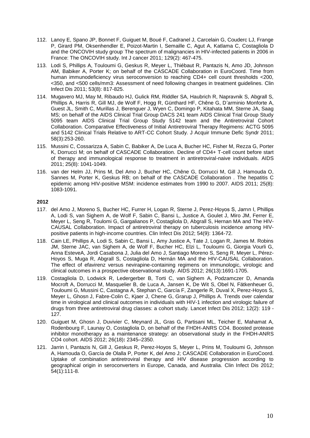- 112. Lanoy E, Spano JP, Bonnet F, Guiguet M, Boué F, Cadranel J, Carcelain G, Couderc LJ, Frange P, Girard PM, Oksenhendler E, Poizot-Martin I, Semaille C, Agut A, Katlama C, Costagliola D and the ONCOVIH study group. The spectrum of malignancies in HIV-infected patients in 2006 in France: The ONCOVIH study. Int J cancer 2011; 129(2): 467-475.
- 113. Lodi S, Phillips A, Touloumi G, Geskus R, Meyer L, Thiébaut R, Pantazis N, Amo JD, Johnson AM, Babiker A, Porter K; on behalf of the CASCADE Collaboration in EuroCoord. [Time from](http://www.ncbi.nlm.nih.gov/pubmed/21921225)  [human immunodeficiency virus seroconversion to reaching CD4+ cell count thresholds <200,](http://www.ncbi.nlm.nih.gov/pubmed/21921225)  [<350, and <500 cells/mm3: Assessment of need following changes in treatment guidelines.](http://www.ncbi.nlm.nih.gov/pubmed/21921225) Clin Infect Dis 2011; 53(8): 817-825.
- 114. Mugavero MJ, May M, Ribaudo HJ, Gulick RM, Riddler SA, Haubrich R, Napravnik S, Abgrall S, Phillips A, Harris R, Gill MJ, de Wolf F, Hogg R, Günthard HF, Chêne G, D'arminio Monforte A, Guest JL, Smith C, Murillas J, Berenguer J, Wyen C, Domingo P, Kitahata MM, Sterne JA, Saag MS; on behalf of the AIDS Clinical Trial Group DACS 241 team AIDS Clinical Trial Group Study 5095 team AIDS Clinical Trial Group Study 5142 team and the Antiretroviral Cohort Collaboration. Comparative Effectiveness of Initial Antiretroviral Therapy Regimens: ACTG 5095 and 5142 Clinical Trials Relative to ART-CC Cohort Study. J Acquir Immune Defic Syndr 2011; 58(3):253-260.
- 115. Mussini C, Cossarizza A, Sabin C, Babiker A, De Luca A, Bucher HC, Fisher M, Rezza G, Porter K, Dorrucci M; on behalf of CASCADE Collaboration. [Decline of CD4+ T-cell count before start](http://www.ncbi.nlm.nih.gov/pubmed/21412128)  [of therapy and immunological response to treatment in antiretroviral-naive individuals.](http://www.ncbi.nlm.nih.gov/pubmed/21412128) AIDS 2011; 25(8): 1041-1049.
- 116. van der Helm JJ, Prins M, Del Amo J, Bucher HC, Chêne G, Dorrucci M, Gill J, Hamouda O, Sannes M, Porter K, Geskus RB; on behalf of the CASCADE Collaboration . [The hepatitis C](http://www.ncbi.nlm.nih.gov/pubmed/21537114)  [epidemic among HIV-positive MSM: incidence estimates from 1990 to 2007.](http://www.ncbi.nlm.nih.gov/pubmed/21537114) AIDS 2011; 25(8): 1083-1091.

- 117. del Amo J, Moreno S, Bucher HC, Furrer H, Logan R, Sterne J, Perez-Hoyos S, Jarrın I, Phillips A, Lodi S, van Sighem A, de Wolf F, Sabin C, Bansi L, Justice A, Goulet J, Miro JM, Ferrer E, Meyer L, Seng R, Toulomi G, Gargalianos P, Costagliola D, Abgrall S, Hernan MA and The HIV-CAUSAL Collaboration. [Impact of antiretroviral therapy on tuberculosis incidence among HIV](http://www.ncbi.nlm.nih.gov/pubmed/22460971)[positive patients in high-income countries.](http://www.ncbi.nlm.nih.gov/pubmed/22460971) Clin Infect Dis 2012; 54(9): 1364-72.
- 118. Cain LE, Phillips A, Lodi S, Sabin C, Bansi L, Amy Justice A, Tate J, Logan R, James M. Robins JM, Sterne JAC, van Sighem A, de Wolf F, Bucher HC, Elzi L, Touloumi G, Giorgia Vourli G, Anna EsteveA, Jordi Casabona J, Julia del Amo J, Santiago Moreno S, Seng R, Meyer L, Pérez-Hoyos S, Muga R, Abgrall S, Costagliola D, Hernán MA and the HIV-CAUSAL Collaboration. [The effect of efavirenz versus nevirapine-containing regimens on immunologic, virologic and](http://www.ncbi.nlm.nih.gov/pubmed/22546987)  [clinical outcomes in a prospective observational study.](http://www.ncbi.nlm.nih.gov/pubmed/22546987) AIDS 2012; 26(13):1691-1705.
- 119. Costagliola D, Lodwick R, Ledergerber B, Torti C, van Sighem A, Podzamczer D, Amanda Mocroft A, Dorrucci M, Masquelier B, de Luca A, Jansen K, De Wit S, Obel N, Fätkenheuer G, Touloumi G, Mussini C, Castagna A, Stephan C, García F, Zangerle R, Duval X, Perez-Hoyos S, Meyer L, Ghosn J, Fabre-Colin C, Kjaer J, Chene G, Grarup J, Phillips A. Trends over calendar time in virological and clinical outcomes in individuals with HIV-1 infection and virologic failure of drugs from three antiretroviral drug classes: a cohort study. Lancet Infect Dis 2012; [12\(2\)](http://www.thelancet.com/journals/laninf/issue/vol12no2/PIIS1473-3099(12)X7040-3): 119 - 127.
- 120. Guiguet M, Ghosn J, Duvivier C, Meynard JL, Gras G, Partisani ML, Teicher E, Mahamat A, Rodenbourg F, Launay O, Costagliola D, on behalf of the FHDH-ANRS CO4. Boosted protease inhibitor monotherapy as a maintenance strategy: an observational study in the FHDH-ANRS CO4 cohort. AIDS 2012; 26(18)**:** 2345–2350.
- 121. Jarrin I, Pantazis N, Gill J, Geskus R, Perez-Hoyos S, Meyer L, Prins M, Touloumi G, Johnson A, Hamouda O, García de Olalla P, Porter K, del Amo J; CASCADE Collaboration in EuroCoord. [Uptake of combination antiretroviral therapy and HIV disease progression according to](http://www.ncbi.nlm.nih.gov/pubmed/22109944)  [geographical origin in seroconverters in Europe, Canada, and Australia.](http://www.ncbi.nlm.nih.gov/pubmed/22109944) Clin Infect Dis 2012; 54(1):111-8.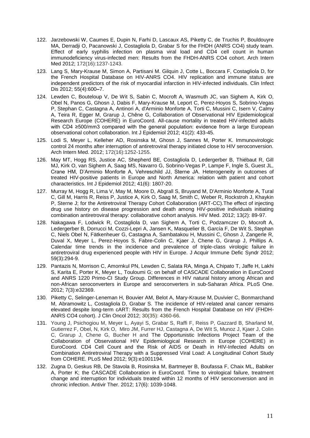- 122. Jarzebowski W, Caumes E, Dupin N, Farhi D, Lascaux AS, Piketty C, de Truchis P, Bouldouyre MA, Derradji O, Pacanowski J, Costagliola D, Grabar S for the FHDH (ANRS CO4) study team. [Effect of early syphilis infection on plasma viral load and CD4 cell count in human](http://www.ncbi.nlm.nih.gov/pubmed/22826097)  [immunodeficiency virus-infected men: Results from the FHDH-ANRS CO4 cohort.](http://www.ncbi.nlm.nih.gov/pubmed/22826097) Arch Intern Med 2012; 172(16):1237-1243.
- 123. Lang S, Mary-Krause M, Simon A, Partisani M. Gilquin J, Cotte L, Boccara F, Costagliola D, for the French Hospital Database on HIV-ANRS CO4. HIV replication and immune status are independent predictors of the risk of myocardial infarction in HIV-infected individuals. Clin Infect Dis 2012; 55(4):600**–**7.
- 124. Lewden C, Bouteloup V, De Wit S, Sabin C, Mocroft A, Wasmuth JC, van Sighem A, Kirk O, Obel N, Panos G, Ghosn J, Dabis F, Mary-Krause M, Leport C, Perez-Hoyos S, Sobrino-Vegas P, Stephan C, Castagna A, Antinori A, d'Arminio Monforte A, Torti C, Mussini C, Isern V, Calmy A, Teira R, Egger M, Grarup J, Chêne G, Collaboration of Observational HIV Epidemiological Research Europe (COHERE) in EuroCoord. All-cause mortality in treated HIV-infected adults with CD4 ≥500/mm3 compared with the general population: evidence from a large European observational cohort collaboration. Int J Epidemiol 2012; 41(2): 433-45.
- 125. [Lodi S,](http://www.ncbi.nlm.nih.gov/pubmed?term=Lodi%20S%5BAuthor%5D&cauthor=true&cauthor_uid=22826124) [Meyer L,](http://www.ncbi.nlm.nih.gov/pubmed?term=Meyer%20L%5BAuthor%5D&cauthor=true&cauthor_uid=22826124) [Kelleher AD,](http://www.ncbi.nlm.nih.gov/pubmed?term=Kelleher%20AD%5BAuthor%5D&cauthor=true&cauthor_uid=22826124) [Rosinska M,](http://www.ncbi.nlm.nih.gov/pubmed?term=Rosinska%20M%5BAuthor%5D&cauthor=true&cauthor_uid=22826124) [Ghosn J,](http://www.ncbi.nlm.nih.gov/pubmed?term=Ghosn%20J%5BAuthor%5D&cauthor=true&cauthor_uid=22826124) [Sannes M,](http://www.ncbi.nlm.nih.gov/pubmed?term=Sannes%20M%5BAuthor%5D&cauthor=true&cauthor_uid=22826124) [Porter K.](http://www.ncbi.nlm.nih.gov/pubmed?term=Porter%20K%5BAuthor%5D&cauthor=true&cauthor_uid=22826124) Immunovirologic control 24 months after interruption of antiretroviral therapy initiated close to HIV seroconversion. Arch Intern Med. 2012; 172(16):1252-1255.
- 126. May MT, Hogg RS, Justice AC, Shepherd BE, Costagliola D, Ledergerber B, Thiébaut R, Gill MJ, Kirk O, van Sighem A, Saag MS, Navarro G, Sobrino-Vegas P, Lampe F, Ingle S, Guest JL, Crane HM, D'Arminio Monforte A, Vehreschild JJ, Sterne JA. Heterogeneity in outcomes of treated HIV-positive patients in Europe and North America: relation with patient and cohort characteristics. Int J Epidemiol 2012; 41(6): 1807-20.
- 127. [Murray M, Hogg R, Lima V, May M, Moore D, Abgrall S, Bruyand M, D'Arminio Monforte A, Tural](http://www.ncbi.nlm.nih.gov/pubmed/21819529)  [C, Gill M, Harris R, Reiss P, Justice A, Kirk O, Saag M, Smith C, Weber R, Rockstroh J, Khaykin](http://www.ncbi.nlm.nih.gov/pubmed/21819529)  [P, Sterne J; for the Antiretroviral Therapy Cohort Collaboration \(ART-CC\).The effect of injecting](http://www.ncbi.nlm.nih.gov/pubmed/21819529)  [drug use history on disease progression and death among HIV-positive individuals initiating](http://www.ncbi.nlm.nih.gov/pubmed/21819529)  [combination antiretroviral therapy: collaborative cohort analysis.](http://www.ncbi.nlm.nih.gov/pubmed/21819529) HIV Med. 2012; 13(2): 89-97.
- 128. Nakagawa F, Lodwick R, Costagliola D, van Sighem A, Torti C, Podzamczer D, Mocroft A, Ledergerber B, Dorrucci M, Cozzi-Lepri A, Jansen K, Masquelier B, García F, De Wit S, Stephan C, Niels Obel N, Fätkenheuer G, Castagna A, Sambatakou H, Mussini C, Ghosn J, Zangerle R, Duval X, Meyer L, Perez-Hoyos S, Fabre-Colin C, Kjaer J, Chene G, Grarup J, Phillips A. Calendar time trends in the incidence and prevalence of triple-class virologic failure in antiretroviral drug experienced people with HIV in Europe. J Acquir Immune Defic Syndr 2012; 59(3):294-9.
- 129. [Pantazis N,](http://www.ncbi.nlm.nih.gov/pubmed?term=%22Pantazis%20N%22%5BAuthor%5D) [Morrison C,](http://www.ncbi.nlm.nih.gov/pubmed?term=%22Morrison%20C%22%5BAuthor%5D) [Amornkul PN,](http://www.ncbi.nlm.nih.gov/pubmed?term=%22Amornkul%20PN%22%5BAuthor%5D) [Lewden C,](http://www.ncbi.nlm.nih.gov/pubmed?term=%22Lewden%20C%22%5BAuthor%5D) [Salata RA,](http://www.ncbi.nlm.nih.gov/pubmed?term=%22Salata%20RA%22%5BAuthor%5D) [Minga A,](http://www.ncbi.nlm.nih.gov/pubmed?term=%22Minga%20A%22%5BAuthor%5D) [Chipato T,](http://www.ncbi.nlm.nih.gov/pubmed?term=%22Chipato%20T%22%5BAuthor%5D) [Jaffe H,](http://www.ncbi.nlm.nih.gov/pubmed?term=%22Jaffe%20H%22%5BAuthor%5D) [Lakhi](http://www.ncbi.nlm.nih.gov/pubmed?term=%22Lakhi%20S%22%5BAuthor%5D)  [S,](http://www.ncbi.nlm.nih.gov/pubmed?term=%22Lakhi%20S%22%5BAuthor%5D) [Karita E,](http://www.ncbi.nlm.nih.gov/pubmed?term=%22Karita%20E%22%5BAuthor%5D) [Porter K,](http://www.ncbi.nlm.nih.gov/pubmed?term=%22Porter%20K%22%5BAuthor%5D) [Meyer L,](http://www.ncbi.nlm.nih.gov/pubmed?term=%22Meyer%20L%22%5BAuthor%5D) [Touloumi G;](http://www.ncbi.nlm.nih.gov/pubmed?term=%22Touloumi%20G%22%5BAuthor%5D) [on behalf of CASCADE Collaboration in EuroCoord](http://www.ncbi.nlm.nih.gov/pubmed?term=%22on%20behalf%20of%20CASCADE%20Collaboration%20in%20EuroCoord%20and%20ANRS%201220%20Primo-CI%20Study%20Group%22%5BCorporate%20Author%5D)  [and ANRS 1220 Primo-CI Study Group.](http://www.ncbi.nlm.nih.gov/pubmed?term=%22on%20behalf%20of%20CASCADE%20Collaboration%20in%20EuroCoord%20and%20ANRS%201220%20Primo-CI%20Study%20Group%22%5BCorporate%20Author%5D) Differences in HIV natural history among African and non-African seroconverters in Europe and seroconverters in sub-Saharan Africa. PLoS One. 2012; 7(3):e32369.
- 130. Piketty C, Selinger-Leneman H, Bouvier AM, Belot A, Mary-Krause M, Duvivier C, Bonmarchand M, Abramowitz L, Costagliola D, Grabar S. The incidence of HIV-related anal cancer remains elevated despite long-term cART: Results from the French Hospital Database on HIV (FHDH-ANRS CO4 cohort). J Clin Oncol 2012; 30(35): 4360-66.
- 131. Young J, Psichogiou M, Meyer L, Ayayi S, Grabar S, Raffi F, Reiss P, Gazzard B, Sharland M, Gutierrez F, Obel, N, Kirk O, [M](http://apps.webofknowledge.com.gate2.inist.fr/OneClickSearch.do?product=WOS&search_mode=OneClickSearch&colName=WOS&SID=X1GlNgHHine2i9oP7Fc&field=AU&value=Miro,%20JM)iro JM, Furrer HJ, Castagna A, De Wit S, Munoz J, Kjaer J, Colin C, Grarup J, Chene G, Bucher H and The Opportunistic Infections Project Team of the Collaboration of Observational HIV Epidemiological Research in Europe (COHERE) in EuroCoord. [CD4 Cell Count and the Risk of AIDS or Death in HIV-Infected](http://www.ncbi.nlm.nih.gov/pubmed/22448150) Adults on [Combination Antiretroviral Therapy with a Suppressed Viral Load: A Longitudinal Cohort Study](http://www.ncbi.nlm.nih.gov/pubmed/22448150)  [from COHERE.](http://www.ncbi.nlm.nih.gov/pubmed/22448150) PLoS Med 2012; 9(3):e1001194.
- 132. Zugna D, Geskus RB, De Stavola B, Rosinska M, Bartmeyer B, Boufassa F, Chaix ML, Babiker A, Porter K; the CASCADE Collaboration in EuroCoord. [Time to virological failure, treatment](http://www.ncbi.nlm.nih.gov/pubmed/22910338)  [change and interruption for individuals treated within 12 months of HIV seroconversion and in](http://www.ncbi.nlm.nih.gov/pubmed/22910338)  [chronic infection.](http://www.ncbi.nlm.nih.gov/pubmed/22910338) Antivir Ther. 2012; 17(6): 1039-1048.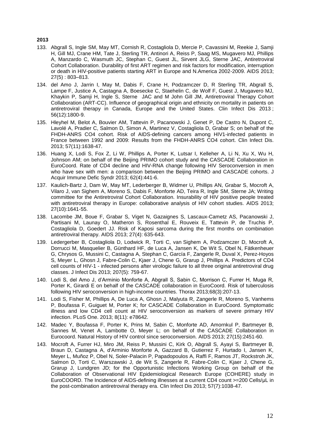- 133. Abgrall S, Ingle SM, May MT, Cornish R, Costagliola D, Mercie P, Cavassini M, Reekie J, Samji H, Gill MJ, Crane HM, Tate J, Sterling TR, Antinori A, Reiss P, Saag MS, Mugavero MJ, Phillips A, Manzardo C, Wasmuth JC, Stephan C, Guest JL, Sirvent JLG, Sterne JAC, Antiretroviral Cohort Collaboration. Durability of first ART regimen and risk factors for modification, interruption or death in HIV-positive patients starting ART in Europe and N.America 2002-2009. AIDS 2013; 27(5) : 803–813.
- 134. del Amo J, Jarrin I, May M, Dabis F, Crane H, Podzamczer D, R Sterling TR, Abgrall S, Lampe F, Justice A, Castagna A, Boesecke C, Staehelin C, de Wolf F, Guest J, Mugavero MJ, Khaykin P, Samji H, Ingle S, Sterne JAC and M John Gill JM, Antiretroviral Therapy Cohort Collaboration (ART-CC). Influence of geographical origin and ethnicity on mortality in patients on antiretroviral therapy in Canada, Europe and the United States. Clin Infect Dis 2013 ; 56(12):1800-9.
- 135. [Hleyhel M, Belot A, Bouvier AM, Tattevin P, Pacanowski J, Genet P, De Castro N, Dupont C,](http://www.ncbi.nlm.nih.gov/pubmed/23899679)  [Lavolé A, Pradier C, Salmon D, Simon A, Martinez V, Costagliola D, Grabar S; on behalf of the](http://www.ncbi.nlm.nih.gov/pubmed/23899679)  [FHDH-ANRS CO4 cohort. Risk of AIDS-defining cancers among HIV1-infected patients in](http://www.ncbi.nlm.nih.gov/pubmed/23899679)  [France between 1992 and 2009: Results from the FHDH-ANRS CO4 cohort.](http://www.ncbi.nlm.nih.gov/pubmed/23899679) Clin Infect Dis. 2013; 57(11):1638-47.
- 136. Huang X, Lodi S, Fox Z, Li W, Phillips A, Porter K, Lutsar I, Kelleher A, Li N, Xu X, Wu H, Johnson AM; on behalf of the Beijing PRIMO cohort study and the CASCADE Collaboration in EuroCoord. [Rate of CD4 decline and HIV-RNA change following HIV Seroconversion in men](http://www.ncbi.nlm.nih.gov/pubmed/23221982)  [who have sex with men: a comparison between the Beijing PRIMO and CASCADE cohorts.](http://www.ncbi.nlm.nih.gov/pubmed/23221982) J Acquir Immune Defic Syndr 2013; 62(4):441-6.
- 137. Kaulich-Bartz J, Dam W, May MT, Lederberger B, Widmer U, Phillips AN, Grabar S, Mocroft A, Vilaro J, van Sighem A, Moreno S, Dabis F, Monforte AD, Teira R, Ingle SM, Sterne JA; Writing committee for the Antiretroviral Cohort Collaboration. [Insurability of HIV positive people treated](http://www.ncbi.nlm.nih.gov/pubmed/23449349)  [with antiretroviral therapy in Europe: collaborative analysis of HIV cohort studies.](http://www.ncbi.nlm.nih.gov/pubmed/23449349) AIDS 2013; 27(10):1641-55.
- 138. Lacombe JM, Boue F, Grabar S, Viget N, Gazaignes S, Lascaux-Cametz AS, Pacanowski J, Partisani M, Launay O, Matheron S, Rosenthal E, Rouveix E, Tattevin P, de Truchis P, Costagliola D, Goedert JJ. [Risk of Kaposi sarcoma during the first months on combination](https://courriel.aphp.fr/owa/redir.aspx?C=07ef48c7acc3422483d49ef6120c4669&URL=http%3a%2f%2fwww.ncbi.nlm.nih.gov%2fpubmed%2f23196937)  [antiretroviral therapy.](https://courriel.aphp.fr/owa/redir.aspx?C=07ef48c7acc3422483d49ef6120c4669&URL=http%3a%2f%2fwww.ncbi.nlm.nih.gov%2fpubmed%2f23196937) AIDS 2013; 27(4): 635-643.
- 139. Ledergerber B, Costagliola D, Lodwick R, Torti C, van Sighem A, Podzamczer D, Mocroft A, Dorrucci M, Masquelier B, Günthard HF, de Luca A, Jansen K, De Wit S, Obel N, Fätkenheuer G, Chrysos G, Mussini C, Castagna A, Stephan C, García F, Zangerle R, Duval X, Perez-Hoyos S, Meyer L, Ghosn J, Fabre-Colin C, Kjaer J, Chene G, Grarup J, Phillips A. Predictors of CD4 cell counts of HIV-1 - infected persons after virologic failure to all three original antiretroviral drug classes. J Infect Dis 2013; 207(5): 759-67.
- 140. Lodi S, del Amo J, d'Arminio Monforte A, Abgrall S, Sabin C, Morrison C, Furrer H, Muga R, Porter K, Girardi E on behalf of the CASCADE collaboration in EuroCoord. Risk of tuberculosis following HIV seroconversion in high-income countries. Thorax 2013;68(3):207-13.
- 141. [Lodi S,](http://www.ncbi.nlm.nih.gov/pubmed?term=Lodi%20S%5BAuthor%5D&cauthor=true&cauthor_uid=24244330) [Fisher M,](http://www.ncbi.nlm.nih.gov/pubmed?term=Fisher%20M%5BAuthor%5D&cauthor=true&cauthor_uid=24244330) [Phillips A,](http://www.ncbi.nlm.nih.gov/pubmed?term=Phillips%20A%5BAuthor%5D&cauthor=true&cauthor_uid=24244330) [De Luca A,](http://www.ncbi.nlm.nih.gov/pubmed?term=De%20Luca%20A%5BAuthor%5D&cauthor=true&cauthor_uid=24244330) [Ghosn J,](http://www.ncbi.nlm.nih.gov/pubmed?term=Ghosn%20J%5BAuthor%5D&cauthor=true&cauthor_uid=24244330) [Malyuta R,](http://www.ncbi.nlm.nih.gov/pubmed?term=Malyuta%20R%5BAuthor%5D&cauthor=true&cauthor_uid=24244330) [Zangerle R,](http://www.ncbi.nlm.nih.gov/pubmed?term=Zangerle%20R%5BAuthor%5D&cauthor=true&cauthor_uid=24244330) [Moreno S,](http://www.ncbi.nlm.nih.gov/pubmed?term=Moreno%20S%5BAuthor%5D&cauthor=true&cauthor_uid=24244330) [Vanhems](http://www.ncbi.nlm.nih.gov/pubmed?term=Vanhems%20P%5BAuthor%5D&cauthor=true&cauthor_uid=24244330)  [P,](http://www.ncbi.nlm.nih.gov/pubmed?term=Vanhems%20P%5BAuthor%5D&cauthor=true&cauthor_uid=24244330) [Boufassa F,](http://www.ncbi.nlm.nih.gov/pubmed?term=Boufassa%20F%5BAuthor%5D&cauthor=true&cauthor_uid=24244330) [Guiguet M,](http://www.ncbi.nlm.nih.gov/pubmed?term=Guiguet%20M%5BAuthor%5D&cauthor=true&cauthor_uid=24244330) [Porter K;](http://www.ncbi.nlm.nih.gov/pubmed?term=Porter%20K%5BAuthor%5D&cauthor=true&cauthor_uid=24244330) [for CASCADE Collaboration in EuroCoord.](http://www.ncbi.nlm.nih.gov/pubmed?term=for%20CASCADE%20Collaboration%20in%20EuroCoord%5BCorporate%20Author%5D) Symptomatic illness and low CD4 cell count at HIV seroconversion as markers of severe primary HIV infection. PLoS One. 2013; 8(11): e78642.
- 142. Madec Y, Boufassa F, Porter K, Prins M, Sabin C, Monforte AD, Amornkul P, Bartmeyer B, Sannes M, Venet A, Lambotte O, Meyer L; on behalf of the CASCADE Collaboration in Eurocoord. [Natural History of HIV control since seroconversion.](http://www.ncbi.nlm.nih.gov/pubmed/23912979) AIDS 2013; 27(15):2451-60.
- 143. Mocroft A, Furrer HJ, Miro JM, Reiss P, Mussini C, Kirk O, Abgrall S, Ayayi S, Bartmeyer B, Braun D, Castagna A, d'Arminio Monforte A, Gazzard B, Gutierrez F, Hurtado I, Jansen K, Meyer L, Muñoz P, Obel N, Soler-Palacin P, Papadopoulos A, Raffi F, Ramos JT, Rockstroh JK, Salmon D, Torti C, Warszawski J, de Wit S, Zangerle R, Fabre-Colin C, Kjaer J, Chene G, Grarup J, Lundgren JD; for the Opportunistic Infections Working Group on behalf of the Collaboration of Observational HIV Epidemiological Research Europe (COHERE) study in EuroCOORD. [The Incidence of AIDS-defining illnesses at a current CD4 count >=200 Cells/μL in](http://www.ncbi.nlm.nih.gov/pubmed/23921881)  [the post-combination an](http://www.ncbi.nlm.nih.gov/pubmed/23921881)tiretroviral therapy era. Clin Infect Dis 2013; 57(7):1038-47.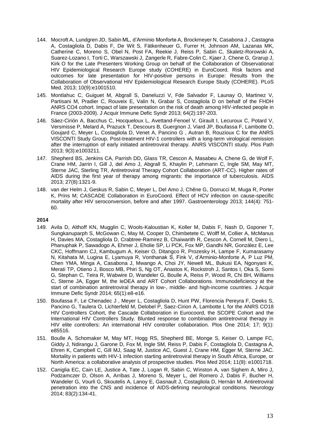- 144. Mocroft A, Lundgren JD, Sabin ML, d'Arminio Monforte A, Brockmeyer N, Casabona J , Castagna A, Costagliola D, Dabis F, De Wit S, Fätkenheuer G, Furrer H, Johnson AM, Lazanas MK, Catherine C, Moreno S, Obel N, Post FA, Reekie J, Reiss P, Sabin C, Skaletz-Rorowski A, Suarez-Lozano I, Torti C, Warszawski J, Zangerle R, Fabre-Colin C, Kjaer J, Chene G, Grarup J, Kirk O for the Late Presenters Working Group on behalf of the Collaboration of Observational HIV Epidemiological Research Europe study (COHERE) in EuroCoord. Risk factors and outcomes for late presentation for HIV-positive persons in Europe: Results from the Collaboration of Observational HIV Epidemiological Research Europe Study (COHERE). PLoS Med. 2013; 10(9):e1001510.
- 145. Montlahuc C, Guiguet M, Abgrall S, Daneluzzi V, Fde Salvador F, Launay O, Martinez V, Partisani M, Pradier C, Rouveix E, Valin N, Grabar S, Costagliola D on behalf of the FHDH ANRS CO4 cohort. Impact of late presentation on the risk of death among HIV-infected people in France (2003-2009). J Acquir Immune Defic Syndr 2013; 64(2):197-203.
- 146. Sáez-Cirión A, Bacchus C, Hocqueloux L, Avettand-Fenoel V, Girault I, Lecuroux C, Potard V, Versmisse P, Melard A, Prazuck T, Descours B, Guergnon J, Viard JP, Boufassa F, Lambotte O, Goujard C, Meyer L, Costagliola D, Venet A, Pancino G , Autran B, Rouzioux C for the ANRS VISCONTI Study Group. Post-treatment HIV-1 controllers with a long-term virological remission after the interruption of early initiated antiretroviral therapy. ANRS VISCONTI study. Plos Path 2013; 9(3):e1003211.
- 147. Shepherd BS, Jenkins CA, Parrish DD, Glass TR, Cescon A, Masabeu A, Chene G, de Wolf F, Crane HM, Jarrin I, Gill J, del Amo J, Abgrall S, Khaylin P, Lehmann C, Ingle SM, May MT, Sterne JAC, Sterling TR, Antiretroviral Therapy Cohort Collaboration (ART-CC). Higher rates of AIDS during the first year of therapy among migrants: the importance of tuberculosis. AIDS 2013; 27(8):1321-9.
- 148. van der Helm J, Geskus R, Sabin C, Meyer L, Del Amo J, Chêne G, Dorrucci M, Muga R, Porter K, Prins M; CASCADE Collaboration in EuroCoord. [Effect of HCV infection on cause-specific](http://www.ncbi.nlm.nih.gov/pubmed/23266560)  [mortality after HIV seroconversion, before and after 1997.](http://www.ncbi.nlm.nih.gov/pubmed/23266560) Gastroenterology 2013; 144(4): 751- 60.

- 149. Avila D, Althoff KN, Mugglin C, Wools-Kaloustian K, Koller M, Dabis F, Nash D, Gsponer T, Sungkanuparph S, McGowan C, May M, Cooper D, Chimbetete C, Wolff M, Collier A, McManus H, Davies MA, Costagliola D, Crabtree-Ramirez B, Chaiwarith R, Cescon A, Cornell M, Diero L, Phanuphak P, Sawadogo A, Ehmer J, Eholie SP, Li PCK, Fox MP, Gandhi NR, González E, Lee CKC, Hoffmann CJ, Kambugum A, Keiser O, Ditangco R, Prozesky H, Lampe F, Kumarasamy N, Kitahata M, Lugina E, Lyamuya R, Vonthanak S, Fink V, d'Arminio-Monforte A, P Luz PM, Chen YMA, Minga A, Casabona J, Mwango A, Choi JY, Newell ML, Bukusi EA, Ngonyani K, Merati TP, Otieno J, Bosco MB, Phiri S, Ng OT, Anastos K, Rockstroh J, Santos I, Oka S, Somi G, Stephan C, Teira R, Wabwire D, Wandeler G, Boulle A, Reiss P, Wood R, Chi BH, Williams C, Sterne JA, Egger M, the IeDEA and ART Cohort Collaborations. Immunodeficiency at the start of combination antiretroviral therapy in low-, middle- and high-income countries. J Acquir Immune Defic Syndr 2014; 65(1):e8-e16.
- 150. Boufassa F, Le Chenadec J , Meyer L, Costagliola D, Hunt PW, Florencia Pereyra F, Deeks S, Pancino G, Taulera O, Lichterfeld M, Delobel P, Saez-Cirion A, Lambotte L for the ANRS CO18 HIV Controllers Cohort, the Cascade Collaboration in Eurocoord, the SCOPE Cohort and the International HIV Controllers Study. Blunted response to combination antiretroviral therapy in HIV elite controllers: An international HIV controller collaboration. Plos One 2014; 17; 9(1): e85516.
- 151. Boulle A, Schomaker M, May MT, Hogg RS, Shepherd BE, Monge S, Keiser O, Lampe FC, Giddy J, Ndirangu J, Garone D, Fox M, Ingle SM, Reiss P, Dabis F, Costagliola D, Castagna A, Ehren K, Campbell C, Gill MJ, Saag M, Justice AC, Guest J, Crane HM, Egger M, Sterne JAC. Mortality in patients with HIV-1 infection starting antiretroviral therapy in South Africa, Europe, or North America: a collaborative analysis of prospective studies. Plos Med 2014; 11(9): e1001718.
- 152. Caniglia EC, Cain LE, Justice A, Tate J, Logan R, Sabin C, Winston A, van Sighem A, Miro J, Podzamczer D, Olson A, Arribas J, Moreno S, Meyer L, del Romero J, Dabis F, Bucher H, Wandeler G, Vourli G, Skoutelis A, Lanoy E, Gasnault J, Costagliola D, Hernán M. Antiretroviral penetration into the CNS and incidence of AIDS-defining neurological conditions. Neurology 2014; 83(2):134-41.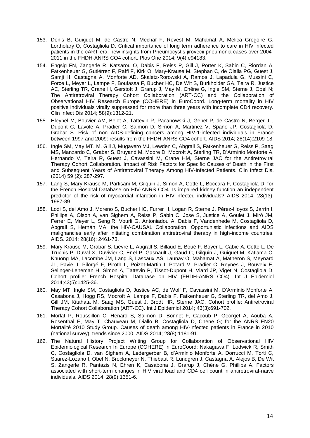- 153. Denis B, Guiguet M, de Castro N, Mechaï F, Revest M, Mahamat A, Melica Gregoire G, Lortholary O, Costagliola D. Critical importance of long term adherence to care in HIV infected patients in the cART era: new insights from Pneumocystis jirovecii pneumonia cases over 2004- 2011 in the FHDH-ANRS CO4 cohort. Plos One 2014; 9(4):e94183.
- 154. Engsig FN, Zangerle R, Katsarou O, Dabis F, Reiss P, Gill J, Porter K, Sabin C, Riordan A, Fätkenheuer G, Gutiérrez F, Raffi F, Kirk O, Mary-Krause M, Stephan C, de Olalla PG, Guest J, Samji H, Castagna A, Monforte AD, Skaletz-Rorowski A, Ramos J, Lapadula G, Mussini C, Force L, Meyer L, Lampe F, Boufassa F, Bucher HC, De Wit S, Burkholder GA, Teira R, Justice AC, Sterling TR, Crane H, Gerstoft J, Grarup J, May M, Chêne G, Ingle SM, Sterne J, Obel N; The Antiretroviral Therapy Cohort Collaboration (ART-CC) and the Collaboration of Observational HIV Research Europe (COHERE) in EuroCoord. [Long-term mortality in HIV](http://www.ncbi.nlm.nih.gov/pubmed/24457342)  [positive individuals virally suppressed for more than three years with incomplete CD4 recovery.](http://www.ncbi.nlm.nih.gov/pubmed/24457342) Clin Infect Dis 2014; 58(9):1312-21.
- 155. Hleyhel M, Bouvier AM, Belot A, Tattevin P, Pacanowski J, Genet P, de Castro N, Berger JL, Dupont C, Lavole A, Pradier C, Salmon D, Simon A, Martinez V, Spano JP, Costagliola D, Grabar S. Risk of non AIDS-defining cancers among HIV-1-infected individuals in France between 1997 and 2009: results from the FHDH-ANRS CO4 cohort. AIDS 2014; 28(14):2109-18.
- 156. Ingle SM, May MT, M. Gill J, Mugavero MJ, Lewden C, Abgrall S, Fätkenheuer G, Reiss P, Saag MS, Manzardo C, Grabar S, Bruyand M, Moore D, Mocroft A, Sterling TR, D'Arminio Monforte A, Hernando V, Teira R, Guest J, Cavassini M, Crane HM, Sterne JAC for the Antiretroviral Therapy Cohort Collaboration. Impact of Risk Factors for Specific Causes of Death in the First and Subsequent Years of Antiretroviral Therapy Among HIV-Infected Patients. Clin Infect Dis. (2014) 59 (2): 287-297.
- 157. Lang S, Mary-Krause M, Partisani M, Gilquin J, Simon A, Cotte L, Boccara F, Costagliola D, for the French Hospital Database on HIV-ANRS CO4. Is impaired kidney function an independent predictor of the risk of myocardial infarction in HIV-infected individuals? AIDS 2014; 28(13): 1987-89.
- 158. Lodi S, del Amo J, Moreno S, Bucher HC, Furrer H, Logan R, Sterne J, Pérez-Hoyos S, Jarrín I, Phillips A, Olson A, van Sighem A, Reiss P, Sabin C, Jose S, Justice A, Goulet J, Miró JM, Ferrer E, Meyer L, Seng R, Vourli G, Antoniadou A, Dabis F, Vandenhede M, Costagliola D, Abgrall S, Hernán MA, the HIV-CAUSAL Collaboration. [Opportunistic infections and AIDS](http://www.ncbi.nlm.nih.gov/pubmed/25265230)  [malignancies early after initiating combination antiretroviral therapy in high-income countries.](http://www.ncbi.nlm.nih.gov/pubmed/25265230) AIDS. 2014; 28(16): 2461-73.
- 159. Mary-Krause M, Grabar S, Lièvre L, Abgrall S, Billaud E, Boué F, Boyer L, Cabié A, Cotte L, De Truchis P, Duval X, Duvivier C, Enel P, Gasnault J, Gaud C, Gilquin J, Guiguet M, Katlama C, Khuong MA, Lacombe JM, Lang S, Lascaux AS, Launay O, Mahamat A, Matheron S, Meynard JL, Pavie J, Pilorgé F, Piroth L, Poizot-Martin I, Potard V, Pradier C, Reynes J, Rouveix E, Selinger-Leneman H, Simon A, Tattevin P, Tissot-Dupont H, Viard JP, Viget N, Costagliola D. Cohort profile: French Hospital Database on HIV (FHDH-ANRS CO4). Int J Epidemiol 2014;43(5):1425-36.
- 160. May MT, Ingle SM, Costagliola D, Justice AC, de Wolf F, Cavassini M, D'Arminio Monforte A, Casabona J, Hogg RS, Mocroft A, Lampe F, Dabis F, Fätkenheuer G, Sterling TR, del Amo J, Gill JM, Kitahata M, Saag MS, Guest J, Brodt HR, Sterne JAC. Cohort profile: Antiretroviral Therapy Cohort Collaboration (ART-CC). Int J Epidemiol 2014; 43(3):691-702.
- 161. Morlat P, Roussillon C, Henard S, Salmon D, Bonnet F, Cacoub P, Georget A, Aouba A, Rosenthal E, May T, Chauveau M, Diallo B, Costagliola D, Chene G; for the ANRS EN20 Mortalité 2010 Study Group. [Causes of death among HIV-infected patients in France in 2010](http://www.ncbi.nlm.nih.gov/pubmed/24901259)  [\(national survey\): trends since 2000.](http://www.ncbi.nlm.nih.gov/pubmed/24901259) AIDS 2014; 28(8):1181-91.
- 162. The Natural History Project Writing Group for Collaboration of Observational HIV Epidemiological Research In Europe (COHERE) in EuroCoord: Nakagawa F, Lodwick R, Smith C, Costagliola D, van Sighem A, Ledergerber B, d'Arminio Monforte A, Dorrucci M, Torti C, Suarez-Lozano I, Obel N, Brockmeyer N, Thiebaut R, Lundgren J, Castagna A, Alejos B, De Wit S, Zangerle R, Pantazis N, Ehren K, Casabona J, Grarup J, Chêne G, Phillips A. Factors associated with short-term changes in HIV viral load and CD4 cell count in antiretroviral-naïve individuals. AIDS 2014; 28(9):1351-6.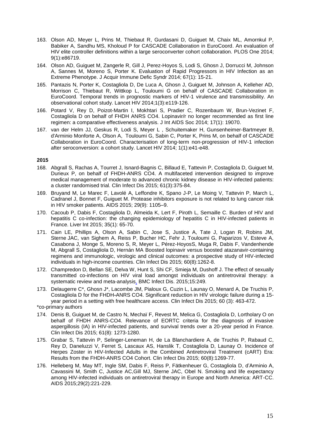- 163. Olson AD, Meyer L, Prins M, Thiebaut R, Gurdasani D, Guiguet M, Chaix ML, Amornkul P, Babiker A, Sandhu MS, Kholoud P for CASCADE Collaboration in EuroCoord. An evaluation of HIV elite controller definitions within a large seroconverter cohort collaboration. PLOS One 2014; 9(1):e86719.
- 164. Olson AD, Guiguet M, Zangerle R, Gill J, Perez-Hoyos S, Lodi S, Ghosn J, Dorrucci M, Johnson A, Sannes M, Moreno S, Porter K. Evaluation of Rapid Progressors in HIV Infection as an Extreme Phenotype. J Acquir Immune Defic Syndr 2014; 67(1): 15-21.
- 165. Pantazis N, Porter K, Costagliola D, De Luca A, Ghosn J, Guiguet M, Johnson A, Kelleher AD, Morrison C, Thiebaut R, Wittkop L, Touloumi G on behalf of CASCADE Collaboration in EuroCoord. Temporal trends in prognostic markers of HIV-1 virulence and transmissibility. An observational cohort study. Lancet HIV 2014;1(3):e119-126.
- 166. Potard V, Rey D, Poizot-Martin I, Mokhtari S, Pradier C, Rozenbaum W, Brun-Vezinet F, Costagliola D on behalf of FHDH ANRS CO4. Lopinavir/r no longer recommended as first line regimen: a comparative effectiveness analysis. J Int AIDS Soc 2014; 17(1): 19070.
- 167. [van der Helm](javascript:void(0);) JJ, [Geskus](javascript:void(0);) R, [Lodi](javascript:void(0);) S, [Meyer](javascript:void(0);) L , [Schuitemaker](javascript:void(0);) H, [Gunsenheimer-Bartmeyer](javascript:void(0);) B, [d'Arminio Monforte](javascript:void(0);) A, [Olson](javascript:void(0);) A, [Touloumi](javascript:void(0);) G, [Sabin](javascript:void(0);) C, [Porter](javascript:void(0);) K, [Prins](javascript:void(0);) M, [on behalf of CASCADE](javascript:void(0);)  [Collaboration in EuroCoord.](javascript:void(0);) Characterisation of long-term non-progression of HIV-1 infection after seroconversion: a cohort study. Lancet HIV 2014; 1(1):e41-e48.

- 168. Abgrall S, Rachas A, Tourret J, Isnard-Bagnis C, Billaud E, Tattevin P, Costagliola D, Guiguet M, Durieux P, on behalf of FHDH-ANRS CO4. A multifaceted intervention designed to improve medical management of moderate to advanced chronic kidney disease in HIV-infected patients: a cluster randomised trial. Clin Infect Dis 2015; 61(3):375-84.
- 169. Bruyand M, Le Marec F, Lavolé A, Leffondre K, Spano J-P, Le Moing V, Tattevin P, March L, Cadranel J, Bonnet F, Guiguet M. Protease inhibitors exposure is not related to lung cancer risk in HIV smoker patients. AIDS 2015; 29(9): 1105–9.
- 170. Cacoub P, Dabis F, Costagliola D, Almeida K, Lert F, Piroth L, Semaille C. Burden of HIV and hepatitis C co-infection: the changing epidemiology of hepatitis C in HIV-infected patients in France. Liver Int 2015; 35(1): 65-70.
- 171. Cain LE, Phillips A, Olson A, Sabin C, Jose S, Justice A, Tate J, Logan R, Robins JM, Sterne JAC, van Sighem A, Reiss P, Bucher HC, Fehr J, Touloumi G, Paparizos V, Esteve A, Casabona J, Monge S, Moreno S, R, Meyer L, Pérez-HoyosS, Muga R, Dabis F, Vandenhende M, Abgrall S, Costagliola D, Hernán MA Boosted lopinavir versus boosted atazanavir-containing regimens and immunologic, virologic and clinical outcomes: a prospective study of HIV-infected individuals in high-income countries. Clin Infect Dis 2015; 60(8):1262-8.
- 172. Champredon D, Bellan SE, Delva W, Hunt S, Shi CF, Smieja M, Dushoff J. The effect of sexually transmitted co-infections on HIV viral load amongst individuals on antiretroviral therapy: a systematic review and meta-analysi[s.](http://www.ncbi.nlm.nih.gov/pubmed/26123030) BMC Infect Dis. 2015;15:249.

173. Delaugerre C\*, Ghosn J\*, Lacombe JM, Pialoux G, Cuzin L, Launay O, Menard A, De Truchis P, Costagliola D for the FHDH**-**ANRS CO4. Significant reduction in HIV virologic failure during a 15 year period in a setting with free healthcare access. Clin Infect Dis 2015; 60 (3): 463-472.

\*co-primary authors

- 174. Denis B, Guiguet M, de Castro N, Mechaï F, Revest M, Melica G, Costagliola D, Lortholary O on behalf of FHDH ANRS-CO4. Relevance of EORTC criteria for the diagnosis of invasive aspergillosis (IA) in HIV-infected patients, and survival trends over a 20-year period in France. Clin Infect Dis 2015; 61(8): 1273-1280.
- 175. Grabar S, Tattevin P, Selinger-Leneman H, de La Blanchardiere A, de Truchis P, Rabaud C, Rey D, Daneluzzi V, Ferret S, Lascaux AS, Hanslik T, Costagliola D, Launay O. Incidence of Herpes Zoster in HIV-Infected Adults in the Combined Antiretroviral Treatment (cART) Era: Results from the FHDH-ANRS CO4 Cohort. Clin Infect Dis 2015; 60(8):1269-77.
- 176. Helleberg M, May MT, Ingle SM, Dabis F, Reiss P, Fätkenheuer G, Costagliola D, d'Arminio A, Cavassini M, Smith C, Justice AC,Gill MJ, Sterne JAC, Obel N. Smoking and life expectancy among HIV-infected individuals on antiretroviral therapy in Europe and North America: ART-CC. AIDS 2015;29(2):221-229.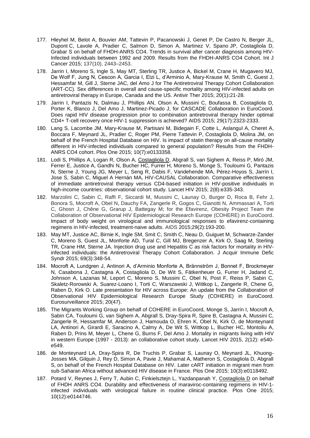- 177. Hleyhel M, Belot A, Bouvier AM, Tattevin P, Pacanowski J, Genet P, De Castro N, Berger JL, Dupont C, Lavole A, Pradier C, Salmon D, Simon A, Martinez V, Spano JP, Costagliola D, Grabar S on behalf of FHDH-ANRS CO4. Trends in survival after cancer diagnosis among HIV-Infected individuals between 1992 and 2009. Results from the FHDH-ANRS CO4 Cohort. Int J Cancer 2015; 137(10), 2443–2453.
- 178. Jarrin I, Moreno S, Ingle S, May MT, Sterling TR, Justice A, Bickel M, Crane H, Mugavero MJ, De Wolf F, Jung N, Cescon A, Garcia I, Elzi L, d'Arminio A, Mary-Krause M, Smith C, Guest J, Hessamfar M, Gill J, Sterne JAC, del Amo J for The Antiretroviral Therapy Cohort Collaboration (ART-CC). Sex differences in overall and cause-specific mortality among HIV-infected adults on antiretroviral therapy in Europe, Canada and the US. Antivir Ther 2015; 20(1)**:**21-28.
- 179. Jarrin I, Pantazis N, Dalmau J, Phillips AN, Olson A, Mussini C, Boufassa B, Costagliola D, Porter K, Blanco J, Del Amo J, Martinez-Picado J, for CASCADE Collaboration in EuroCoord. Does rapid HIV disease progression prior to combination antiretroviral therapy hinder optimal CD4+ T-cell recovery once HIV-1 suppression is achieved? AIDS 2015; 29(17):2323-2333.
- 180. Lang S, Lacombe JM, Mary-Krause M, Partisani M, Bidegain F, Cotte L, Aslangul A, Cheret A, Boccara F, Meynard JL, Pradier C, Roger PM, Pierre Tattevin P, Costagliola D, Molina JM, on behalf of the French Hospital Database on HIV. Is impact of statin therapy on all-cause mortality different in HIV-infected individuals compared to general population? Results from the FHDH-ANRS CO4 cohort. Plos One 2015; 10(7):e0133358.
- 181. Lodi S, Phillips A, Logan R, Olson A, Costagliola D, Abgrall S, van Sighem A, Reiss P, Miró JM, Ferrer E, Justice A, Gandhi N, Bucher HC, Furrer H, Moreno S, Monge S, Touloumi G, Pantazis N, Sterne J, Young JG, Meyer L, Seng R, Dabis F, Vandehende MA, Pérez-Hoyos S, Jarrín I, Jose S, Sabin C, Miguel A Hernán MA, HIV-CAUSAL Collaboration. Comparative effectiveness of immediate antiretroviral therapy versus CD4-based initiation in HIV-positive individuals in high-income countries: observational cohort study. Lancet HIV 2015; 2(8):e335-343.
- 182. [Marzolini C,](http://www.ncbi.nlm.nih.gov/pubmed?term=Marzolini%20C%5BAuthor%5D&cauthor=true&cauthor_uid=25426810) [Sabin C,](http://www.ncbi.nlm.nih.gov/pubmed?term=Sabin%20C%5BAuthor%5D&cauthor=true&cauthor_uid=25426810) [Raffi F,](http://www.ncbi.nlm.nih.gov/pubmed?term=Raffi%20F%5BAuthor%5D&cauthor=true&cauthor_uid=25426810) [Siccardi M,](http://www.ncbi.nlm.nih.gov/pubmed?term=Siccardi%20M%5BAuthor%5D&cauthor=true&cauthor_uid=25426810) [Mussini C,](http://www.ncbi.nlm.nih.gov/pubmed?term=Mussini%20C%5BAuthor%5D&cauthor=true&cauthor_uid=25426810) [Launay O,](http://www.ncbi.nlm.nih.gov/pubmed?term=Launay%20O%5BAuthor%5D&cauthor=true&cauthor_uid=25426810) [Burger D,](http://www.ncbi.nlm.nih.gov/pubmed?term=Burger%20D%5BAuthor%5D&cauthor=true&cauthor_uid=25426810) [Roca B,](http://www.ncbi.nlm.nih.gov/pubmed?term=Roca%20B%5BAuthor%5D&cauthor=true&cauthor_uid=25426810) [Fehr J,](http://www.ncbi.nlm.nih.gov/pubmed?term=Fehr%20J%5BAuthor%5D&cauthor=true&cauthor_uid=25426810) [Bonora S,](http://www.ncbi.nlm.nih.gov/pubmed?term=Bonora%20S%5BAuthor%5D&cauthor=true&cauthor_uid=25426810) [Mocroft A,](http://www.ncbi.nlm.nih.gov/pubmed?term=Mocroft%20A%5BAuthor%5D&cauthor=true&cauthor_uid=25426810) [Obel N,](http://www.ncbi.nlm.nih.gov/pubmed?term=Obel%20N%5BAuthor%5D&cauthor=true&cauthor_uid=25426810) [Dauchy FA,](http://www.ncbi.nlm.nih.gov/pubmed?term=Dauchy%20FA%5BAuthor%5D&cauthor=true&cauthor_uid=25426810) [Zangerle R,](http://www.ncbi.nlm.nih.gov/pubmed?term=Zangerle%20R%5BAuthor%5D&cauthor=true&cauthor_uid=25426810) [Gogos C,](http://www.ncbi.nlm.nih.gov/pubmed?term=Gogos%20C%5BAuthor%5D&cauthor=true&cauthor_uid=25426810) [Gianotti N,](http://www.ncbi.nlm.nih.gov/pubmed?term=Gianotti%20N%5BAuthor%5D&cauthor=true&cauthor_uid=25426810) [Ammassari A,](http://www.ncbi.nlm.nih.gov/pubmed?term=Ammassari%20A%5BAuthor%5D&cauthor=true&cauthor_uid=25426810) [Torti](http://www.ncbi.nlm.nih.gov/pubmed?term=Torti%20C%5BAuthor%5D&cauthor=true&cauthor_uid=25426810)  [C,](http://www.ncbi.nlm.nih.gov/pubmed?term=Torti%20C%5BAuthor%5D&cauthor=true&cauthor_uid=25426810) [Ghosn J,](http://www.ncbi.nlm.nih.gov/pubmed?term=Ghosn%20J%5BAuthor%5D&cauthor=true&cauthor_uid=25426810) [Chêne G,](http://www.ncbi.nlm.nih.gov/pubmed?term=Ch%C3%AAne%20G%5BAuthor%5D&cauthor=true&cauthor_uid=25426810) [Grarup J,](http://www.ncbi.nlm.nih.gov/pubmed?term=Grarup%20J%5BAuthor%5D&cauthor=true&cauthor_uid=25426810) [Battegay M;](http://www.ncbi.nlm.nih.gov/pubmed?term=Battegay%20M%5BAuthor%5D&cauthor=true&cauthor_uid=25426810) [for the Efavirenz, Obesity Project Team the](http://www.ncbi.nlm.nih.gov/pubmed?term=%22for%20the%20Efavirenz%2C%20Obesity%20Project%20Team%20the%20Collaboration%20of%20Observational%20HIV%20Epidemiological%20Research%20Europe%20(COHERE)%20in%20EuroCoord%22%5BCorporate%20Author%5D)  [Collaboration of Observational HIV Epidemiological Research Europe \(COHERE\) in EuroCoord.](http://www.ncbi.nlm.nih.gov/pubmed?term=%22for%20the%20Efavirenz%2C%20Obesity%20Project%20Team%20the%20Collaboration%20of%20Observational%20HIV%20Epidemiological%20Research%20Europe%20(COHERE)%20in%20EuroCoord%22%5BCorporate%20Author%5D) Impact of body weight on virological and immunological responses to efavirenz-containing regimens in HIV-infected, treatment-naive adults. AIDS 2015;29(2):193-200.
- 183. May MT, Justice AC, Birnie K, Ingle SM, Smit C, Smith C, Neau D, Guiguet M, Schwarze-Zander C, Moreno S, Guest JL, Monforte AD, Tural C, Gill MJ, Bregenzer A, Kirk O, Saag M, Sterling TR, Crane HM, Sterne JA. [Injection drug use and Hepatitis C as risk factors for mortality in HIV](http://www.ncbi.nlm.nih.gov/pubmed/25848927)[infected individuals: the Antiretroviral Therapy Cohort Collaboration.](http://www.ncbi.nlm.nih.gov/pubmed/25848927) J Acquir Immune Defic Syndr 2015; 69(3):348-54.
- 184. Mocroft A, Lundgren J, Antinori A, d'Arminio Monforte A, Brännström J, Bonnet F, Brockmeyer N, Casabona J, Castagna A, Costagliola D, De Wit S, Fätkenheuer G, Furrer H, Jadand C, Johnson A, Lazanas M, Leport C, Moreno S, Mussini C, Obel N, Post F, Reiss P, Sabin C, Skaletz-Rorowski A, Suarez-Loano I, Torti C, Warszawski J, Wittkop L, Zangerle R, Chene G, Raben D, Kirk O. Late presentation for HIV across Europe: An update from the Collaboration of Observational HIV Epidemiological Research Europe Study (COHERE) in EuroCoord. Eurosurveillance 2015; 20(47).
- 185. The Migrants Working Group on behalf of COHERE in EuroCoord, Monge S, Jarrín I, Mocroft A, Sabin CA, Touloumi G, van Sighem A, Abgrall S, Dray-Spira R, Spire B, Castagna A, Mussini C, Zangerle R, Hessamfar M, Anderson J, Hamouda O, Ehren K, Obel N, Kirk O, de Monteynard LA, Antinori A, Girardi E, Saracino A, Calmy A, De Wit S, Wittkop L, Bucher HC, Montoliu A, Raben D, Prins M, Meyer L, Chene G, Burns F, Del Amo J. Mortality in migrants living with HIV in western Europe (1997 - 2013): an collaborative cohort study. Lancet HIV 2015, 2(12): e540 e549.
- 186. de Monteynard LA, Dray-Spira R, De Truchis P, Grabar S, Launay O, Meynard JL, Khuong-Josses MA, Gilquin J, Rey D, Simon A, Pavie J, Mahamat A, Matheron S, Costagliola D, Abgrall S, on behalf of the French Hospital Database on HIV. Later cART initiation in migrant men from sub-Saharan Africa without advanced HIV disease in France. Plos One 2015; 10(3):e0118492.
- 187. Potard V, Reynes J, Ferry T, Aubin C, Finkielsztejn L, Yazdanpanah Y, Costagliola D on behalf of FHDH ANRS CO4. Durability and effectiveness of maraviroc-containing regimens in HIV-1 infected individuals with virological failure in routine clinical practice. Plos One 2015; 10(12):e0144746.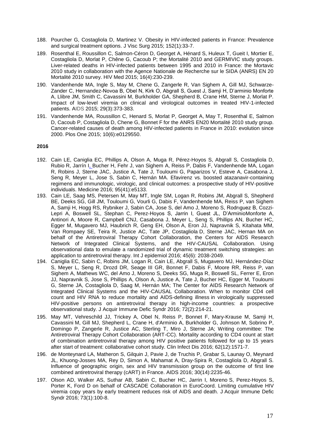- 188. Pourcher G, Costagliola D, Martinez V. [Obesity in HIV-infected patients in France: Prevalence](http://www.ncbi.nlm.nih.gov/pubmed/25662869)  [and surgical treatment options.](http://www.ncbi.nlm.nih.gov/pubmed/25662869) J Visc Surg 2015; 152(1):33-7.
- 189. Rosenthal E, Roussillon C, Salmon-Céron D, Georget A, Hénard S, Huleux T, Gueit I, Mortier E, Costagliola D, Morlat P, Chêne G, Cacoub P; the Mortalité 2010 and GERMIVIC study groups. [Liver-related deaths in HIV-infected patients between 1995 and 2010 in France: the Mortavic](http://www.ncbi.nlm.nih.gov/pubmed/25522874)  [2010 study in collaboration with the Agence Nationale de Recherche sur le SIDA \(ANRS\) EN 20](http://www.ncbi.nlm.nih.gov/pubmed/25522874)  [Mortalité 2010 survey.](http://www.ncbi.nlm.nih.gov/pubmed/25522874) HIV Med 2015; 16(4):230-239.
- 190. Vandenhende MA, Ingle S, May M, Chene G, Zangerle R, Van Sighem A, Gill MJ, Schwarze-Zander C, Hernandez-Novoa B, Obel N, Kirk O, Abgrall S, Guest J, Samji H, D'arminio Monforte A, Llibre JM, Smith C, Cavassini M, Burkholder GA, Shepherd B, Crane HM, Sterne J, Morlat P. Impact of low-level viremia on clinical and virological outcomes in treated HIV-1-infected patients. AIDS 2015; 29(3):373-383.
- 191. Vandenhende MA, Roussillon C, Henard S, Morlat P, Georget A, May T, Rosenthal E, Salmon D, Cacoub P, Costagliola D, Chene G, Bonnet F for the ANRS EN20 Mortalité 2010 study group. Cancer-related causes of death among HIV-infected patients in France in 2010: evolution since 2000. Plos One 2015; 10(6):e0129550.

- 192. Cain LE, Caniglia EC, Phillips A, Olson A, Muga R, Pérez-Hoyos S, Abgrall S, Costagliola D, Rubio R, Jarrín I, Bucher H, Fehr J, van Sighem A, Reiss P, Dabis F, Vandenhende MA, Logan R, Robins J, Sterne JAC, Justice A, Tate J, Touloumi G, Paparizos V, Esteve A, Casabona J, Seng R, Meyer L, Jose S, Sabin C, Hernán MA. Efavirenz vs. boosted atazanavir-containing regimens and immunologic, virologic, and clinical outcomes: a prospective study of HIV-positive individuals. Medicine 2016; 95(41):e5133.
- 193. Cain LE, Saag MS, Petersen M, May MT, Ingle SM, Logan R, Robins JM, Abgrall S, Shepherd BE, Deeks SG, Gill JM, Touloumi G, Vourli G, Dabis F, Vandenhende MA, Reiss P, van Sighem A, Samji H, Hogg RS, Rybniker J, Sabin CA, Jose S, del Amo J, Moreno S, Rodrıguez B, Cozzi-Lepri A, Boswell SL, Stephan C, Perez-Hoyos S, Jarrin I, Guest JL, D'ArminioMonforte A, Antinori A, Moore R, Campbell CNJ, Casabona J, Meyer L, Seng S, Phillips AN, Bucher HC, Egger M, Mugavero MJ, Haubrich R, Geng EH, Olson A, Eron JJ, Napravnik S, Kitahata MM, Van Rompaey SE, Teira R, Justice AC, Tate JP, Costagliola D, Sterne JAC, Hernan MA on behalf of the Antiretroviral Therapy Cohort Collaboration, the Centers for AIDS Research Network of Integrated Clinical Systems, and the HIV-CAUSAL Collaboration. Using observational data to emulate a randomized trial of dynamic treatment switching strategies: an application to antiretroviral therapy. Int J epidemiol 2016; 45(6): 2038-2049.
- 194. Caniglia EC, Sabin C, Robins JM, Logan R, Cain LE, Abgrall S, Mugavero MJ, Hernández-Díaz S, Meyer L, Seng R, Drozd DR, Seage III GR, Bonnet F, Dabis F, Moore RR, Reiss P, van Sighem A, Mathews WC, del Amo J, Moreno S, Deeks SG, Muga R, Boswell SL, Ferrer E, Eron JJ, Napravnik S, Jose S, Phillips A, Olson A, Justice A, Tate J, Bucher HC, Egger M, Touloumi G, Sterne JA, Costagliola D, Saag M, Hernán MA; The Center for AIDS Research Network of Integrated Clinical Systems and the HIV-CAUSAL Collaboration. When to monitor CD4 cell count and HIV RNA to reduce mortality and AIDS-defining illness in virologically suppressed HIV-positive persons on antiretroviral therapy in high-income countries: a prospective observational study. J Acquir Immune Defic Syndr 2016; 72(2):214-21.
- 195. [May MT,](http://www.ncbi.nlm.nih.gov/pubmed/?term=May%20MT%5BAuthor%5D&cauthor=true&cauthor_uid=27025828) [Vehreschild JJ,](http://www.ncbi.nlm.nih.gov/pubmed/?term=Vehreschild%20JJ%5BAuthor%5D&cauthor=true&cauthor_uid=27025828) [Trickey](http://www.ncbi.nlm.nih.gov/pubmed/?term=Trickey%20A%5BAuthor%5D&cauthor=true&cauthor_uid=27025828) A, [Obel N,](http://www.ncbi.nlm.nih.gov/pubmed/?term=Obel%20N%5BAuthor%5D&cauthor=true&cauthor_uid=27025828) [Reiss P,](http://www.ncbi.nlm.nih.gov/pubmed/?term=Reiss%20P%5BAuthor%5D&cauthor=true&cauthor_uid=27025828) [Bonnet F,](http://www.ncbi.nlm.nih.gov/pubmed/?term=Bonnet%20F%5BAuthor%5D&cauthor=true&cauthor_uid=27025828) [Mary-Krause M,](http://www.ncbi.nlm.nih.gov/pubmed/?term=Mary-Krause%20M%5BAuthor%5D&cauthor=true&cauthor_uid=27025828) [Samji H,](http://www.ncbi.nlm.nih.gov/pubmed/?term=Samji%20H%5BAuthor%5D&cauthor=true&cauthor_uid=27025828) [Cavassini](http://www.ncbi.nlm.nih.gov/pubmed/?term=Cavassini%20M%5BAuthor%5D&cauthor=true&cauthor_uid=27025828) M, [Gill MJ,](http://www.ncbi.nlm.nih.gov/pubmed/?term=Gill%20MJ%5BAuthor%5D&cauthor=true&cauthor_uid=27025828) [Shepherd L,](http://www.ncbi.nlm.nih.gov/pubmed/?term=Shepherd%20L%5BAuthor%5D&cauthor=true&cauthor_uid=27025828) [Crane H,](http://www.ncbi.nlm.nih.gov/pubmed/?term=Crane%20H%5BAuthor%5D&cauthor=true&cauthor_uid=27025828) [d'Arminio A,](http://www.ncbi.nlm.nih.gov/pubmed/?term=d%27Arminio%20A%5BAuthor%5D&cauthor=true&cauthor_uid=27025828) [Burkholder G,](http://www.ncbi.nlm.nih.gov/pubmed/?term=Burkholder%20G%5BAuthor%5D&cauthor=true&cauthor_uid=27025828) [Johnson M,](http://www.ncbi.nlm.nih.gov/pubmed/?term=Johnson%20M%5BAuthor%5D&cauthor=true&cauthor_uid=27025828) [Sobrino P,](http://www.ncbi.nlm.nih.gov/pubmed/?term=Sobrino%20P%5BAuthor%5D&cauthor=true&cauthor_uid=27025828) [Domingo P,](http://www.ncbi.nlm.nih.gov/pubmed/?term=Domingo%20P%5BAuthor%5D&cauthor=true&cauthor_uid=27025828) [Zangerle R,](http://www.ncbi.nlm.nih.gov/pubmed/?term=Zangerle%20R%5BAuthor%5D&cauthor=true&cauthor_uid=27025828) [Justice AC,](http://www.ncbi.nlm.nih.gov/pubmed/?term=Justice%20AC%5BAuthor%5D&cauthor=true&cauthor_uid=27025828) [Sterling T,](http://www.ncbi.nlm.nih.gov/pubmed/?term=Sterling%20T%5BAuthor%5D&cauthor=true&cauthor_uid=27025828) [Miro J,](http://www.ncbi.nlm.nih.gov/pubmed/?term=Miro%20J%5BAuthor%5D&cauthor=true&cauthor_uid=27025828) [Sterne JA;](http://www.ncbi.nlm.nih.gov/pubmed/?term=Sterne%20JA%5BAuthor%5D&cauthor=true&cauthor_uid=27025828) [Writing committee: The](http://www.ncbi.nlm.nih.gov/pubmed/?term=Writing%20committee%3A%20The%20Antiretroviral%20Therapy%20Cohort%20Collaboration%20%28ART-CC%29%5BCorporate%20Author%5D)  [Antiretroviral Therapy Cohort Collaboration \(ART-CC\).](http://www.ncbi.nlm.nih.gov/pubmed/?term=Writing%20committee%3A%20The%20Antiretroviral%20Therapy%20Cohort%20Collaboration%20%28ART-CC%29%5BCorporate%20Author%5D) Mortality according to CD4 count at start of combination antiretroviral therapy among HIV positive patients followed for up to 15 years after start of treatment: collaborative cohort study. [Clin Infect Dis 2](http://www.ncbi.nlm.nih.gov/pubmed/?cmd=historysearch&querykey=1)016; 62(12):1571-7.
- 196. de Monteynard LA, Matheron S, Gilquin J, Pavie J, de Truchis P, Grabar S, Launay O, Meynard JL, Khuong-Josses MA, Rey D, Simon A, Mahamat A, Dray-Spira R, Costagliola D, Abgrall S. Influence of geographic origin, sex and HIV transmission group on the outcome of first line combined antiretroviral therapy (cART) in France. AIDS 2016; 30(14):2235-46.
- 197. Olson AD, Walker AS, Suthar AB, Sabin C, Bucher HC, Jarrin I, Moreno S, Perez-Hoyos S, Porter K, Ford D on behalf of CASCADE Collaboration in EuroCoord. Limiting cumulative HIV viremia copy years by early treatment reduces risk of AIDS and death. J Acquir Immune Defic Syndr 2016; 73(1):100-8.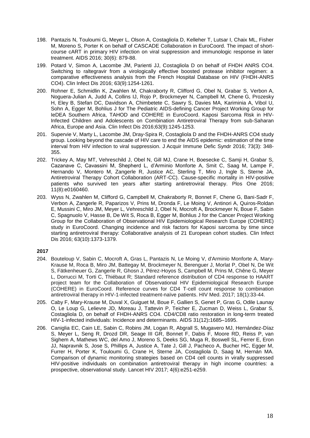- 198. Pantazis N, Touloumi G, Meyer L, Olson A, Costagliola D, Kelleher T, Lutsar I, Chaix ML, Fisher M, Moreno S, Porter K on behalf of CASCADE Collaboration in EuroCoord. The impact of shortcourse cART in primary HIV infection on viral suppression and immunologic response in later treatment. AIDS 2016; 30(6): 879-88.
- 199. Potard V, Simon A, Lacombe JM, Parienti JJ, Costagliola D on behalf of FHDH ANRS CO4. Switching to raltegravir from a virologically effective boosted protease inhibitor regimen: a comparative effectiveness analysis from the French Hospital Database on HIV (FHDH-ANRS CO4). Clin Infect Dis 2016; 63(9):1254-1261.
- 200. Rohner E, Schmidlin K, Zwahlen M, Chakraborty R, Clifford G, Obel N, Grabar S, Verbon A, Noguera-Julian A, Judd A, Collins IJ, Rojo P, Brockmeyer N, Campbell M, Chene G, Prozesky H, Eley B, Stefan DC, Davidson A, Chimbetete C, Sawry S, Davies MA, Kariminia A, Vibol U, Sohn A, Egger M, Bohlius J for The Pediatric AIDS-defining Cancer Project Working Group for IeDEA Southern Africa, TAHOD and COHERE in EuroCoord. Kaposi Sarcoma Risk in HIV-Infected Children and Adolescents on Combination Antiretroviral Therapy from sub-Saharan Africa, Europe and Asia. Clin Infect Dis 2016;63(9):1245-1253.
- 201. Supervie V, Marty L, Lacombe JM, Dray-Spira R, Costagliola D and the FHDH-ANRS CO4 study group. Looking beyond the cascade of HIV care to end the AIDS epidemic: estimation of the time interval from HIV infection to viral suppression. J Acquir Immune Defic Syndr 2016; 73(3): 348- 355.
- 202. Trickey A, May MT, Vehreschild J, Obel N, Gill MJ, Crane H, Boesecke C, Samji H, Grabar S, Cazanave C, Cavassini M, Shepherd L, d'Arminio Monforte A, Smit C, Saag M, Lampe F, Hernando V, Montero M, Zangerle R, Justice AC, Sterling T, Miro J, Ingle S, Sterne JA, [Antiretroviral Therapy Cohort Collaboration \(ART-CC\).](http://www.ncbi.nlm.nih.gov/pubmed/?term=Antiretroviral%20Therapy%20Cohort%20Collaboration%20%28ART-CC%29%5BCorporate%20Author%5D) Cause-specific mortality in HIV-positive patients who survived ten years after starting antiretroviral therapy. Plos One 2016; 11(8):e0160460.
- 203. Wyss N, Zwahlen M, Clifford G, Campbell M, Chakraborty R, Bonnet F, Chene G, Bani-Sadr F, Verbon A, Zangerle R, Paparizos V, Prins M, Dronda F, Le Moing V, Antinori A, Quiros-Roldan E, Mussini C, Miro JM, Meyer L, Vehreschild J, Obel N, Mocroft A, Brockmeyer N, Boue F, Sabin C, Spagnuolo V, Hasse B, De Wit S, Roca B, Egger M, Bohlius J for the Cancer Project Working Group for the Collaboration of Observational HIV Epidemiological Research Europe (COHERE) study in EuroCoord. Changing incidence and risk factors for Kaposi sarcoma by time since starting antiretroviral therapy: Collaborative analysis of 21 European cohort studies. Clin Infect Dis 2016; 63(10):1373-1379.

- 204. Bouteloup V, Sabin C, Mocroft A, Gras L, Pantazis N, Le Moing V, d'Arminio Monforte A, Mary-Krause M, Roca B, Miro JM, Battegay M, Brockmeyer N, Berenguer J, Morlat P, Obel N, De Wit S, Fätkenheuer G, Zangerle R, Ghosn J, Pérez-Hoyos S, Campbell M, Prins M, Chêne G, Meyer L, Dorrucci M, Torti C, Thiébaut R; Standard reference distribution of CD4 response to HAART project team for the Collaboration of Observational HIV Epidemiological Research Europe (COHERE) in EuroCoord. [Reference curves for CD4 T-cell count response to combination](http://www.ncbi.nlm.nih.gov/pubmed/27625009)  [antiretroviral therapy in HIV-1-infected treatment-naïve patients.](http://www.ncbi.nlm.nih.gov/pubmed/27625009) HIV Med. 2017; 18(1):33-44.
- 205. Caby F, Mary-Krause M, Duval X, Guiguet M, Boue F, Gallien S, Genet P, Gras G, Odile Launay O, Le Loup G, Lelievre JD, Moreau J, Tattevin P, Teicher E, Zucman D, Weiss L, Grabar S, Costagliola D, on behalf of FHDH-ANRS CO4. CD4/CD8 ratio restoration in long-term treated HIV-1-infected individuals: Incidence and determinants. AIDS 31(12)**:**1685–1695.
- 206. Caniglia EC, Cain LE, Sabin C, Robins JM, Logan R, Abgrall S, Mugavero MJ, Hernández-Díaz S, Meyer L, Seng R, Drozd DR, Seage III GR, Bonnet F, Dabis F, Moore RD, Reiss P, van Sighem A, Mathews WC, del Amo J, Moreno S, Deeks SG, Muga R, Boswell SL, Ferrer E, Eron JJ, Napravnik S, Jose S, Phillips A, Justice A, Tate J, Gill J, Pacheco A, Bucher HC, Egger M, Furrer H, Porter K, Touloumi G, Crane H, Sterne JA, Costagliola D, Saag M, Hernán MA. Comparison of dynamic monitoring strategies based on CD4 cell counts in virally suppressed HIV-positive individuals on combination antiretroviral therapy in high income countries: a prospective, observational study. Lancet HIV 2017; 4(6):e251-e259.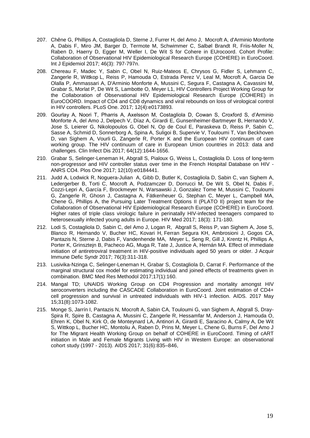- 207. Chêne G, Phillips A, Costagliola D, Sterne J, Furrer H, del Amo J, Mocroft A, d'Arminio Monforte A, Dabis F, Miro JM, Barger D, Termote M, Schwimmer C, Salbøl Brandt R, Friis-Moller N, Raben D, Haerry D, Egger M, Weller I, De Wit S for Cohere in EUrocoord. Cohort Profile: Collaboration of Observational HIV Epidemiological Research Europe (COHERE) in EuroCoord. Int J Epidemiol 2017; 46(3): 797-797n.
- 208. [Chereau F,](https://www.ncbi.nlm.nih.gov/pubmed/?term=Chereau%20F%5BAuthor%5D&cauthor=true&cauthor_uid=28380038) [Madec Y,](https://www.ncbi.nlm.nih.gov/pubmed/?term=Madec%20Y%5BAuthor%5D&cauthor=true&cauthor_uid=28380038) [Sabin C,](https://www.ncbi.nlm.nih.gov/pubmed/?term=Sabin%20C%5BAuthor%5D&cauthor=true&cauthor_uid=28380038) [Obel N,](https://www.ncbi.nlm.nih.gov/pubmed/?term=Obel%20N%5BAuthor%5D&cauthor=true&cauthor_uid=28380038) [Ruiz-Mateos E,](https://www.ncbi.nlm.nih.gov/pubmed/?term=Ruiz-Mateos%20E%5BAuthor%5D&cauthor=true&cauthor_uid=28380038) [Chrysos G,](https://www.ncbi.nlm.nih.gov/pubmed/?term=Chrysos%20G%5BAuthor%5D&cauthor=true&cauthor_uid=28380038) [Fidler S,](https://www.ncbi.nlm.nih.gov/pubmed/?term=Fidler%20S%5BAuthor%5D&cauthor=true&cauthor_uid=28380038) [Lehmann C,](https://www.ncbi.nlm.nih.gov/pubmed/?term=Lehmann%20C%5BAuthor%5D&cauthor=true&cauthor_uid=28380038) [Zangerle R,](https://www.ncbi.nlm.nih.gov/pubmed/?term=Zangerle%20R%5BAuthor%5D&cauthor=true&cauthor_uid=28380038) [Wittkop](https://www.ncbi.nlm.nih.gov/pubmed/?term=Wittkop%20L%5BAuthor%5D&cauthor=true&cauthor_uid=28380038) L, [Reiss P,](https://www.ncbi.nlm.nih.gov/pubmed/?term=Reiss%20P%5BAuthor%5D&cauthor=true&cauthor_uid=28380038) [Hamouda O,](https://www.ncbi.nlm.nih.gov/pubmed/?term=Hamouda%20O%5BAuthor%5D&cauthor=true&cauthor_uid=28380038) [Estrada Perez V,](https://www.ncbi.nlm.nih.gov/pubmed/?term=Estrada%20Perez%20V%5BAuthor%5D&cauthor=true&cauthor_uid=28380038) [Leal M,](https://www.ncbi.nlm.nih.gov/pubmed/?term=Leal%20M%5BAuthor%5D&cauthor=true&cauthor_uid=28380038) [Mocroft A,](https://www.ncbi.nlm.nih.gov/pubmed/?term=Mocroft%20A%5BAuthor%5D&cauthor=true&cauthor_uid=28380038) [Garcia De](https://www.ncbi.nlm.nih.gov/pubmed/?term=Garcia%20De%20Olalla%20P%5BAuthor%5D&cauthor=true&cauthor_uid=28380038)  [Olalla P,](https://www.ncbi.nlm.nih.gov/pubmed/?term=Garcia%20De%20Olalla%20P%5BAuthor%5D&cauthor=true&cauthor_uid=28380038) [Ammassari A,](https://www.ncbi.nlm.nih.gov/pubmed/?term=Ammassari%20A%5BAuthor%5D&cauthor=true&cauthor_uid=28380038) [D'Arminio Monforte A,](https://www.ncbi.nlm.nih.gov/pubmed/?term=D%27Arminio%20Monforte%20A%5BAuthor%5D&cauthor=true&cauthor_uid=28380038) [Mussini C,](https://www.ncbi.nlm.nih.gov/pubmed/?term=Mussini%20C%5BAuthor%5D&cauthor=true&cauthor_uid=28380038) [Segura F,](https://www.ncbi.nlm.nih.gov/pubmed/?term=Segura%20F%5BAuthor%5D&cauthor=true&cauthor_uid=28380038) [Castagna A,](https://www.ncbi.nlm.nih.gov/pubmed/?term=Castagna%20A%5BAuthor%5D&cauthor=true&cauthor_uid=28380038) [Cavassini M,](https://www.ncbi.nlm.nih.gov/pubmed/?term=Cavassini%20M%5BAuthor%5D&cauthor=true&cauthor_uid=28380038) [Grabar S,](https://www.ncbi.nlm.nih.gov/pubmed/?term=Grabar%20S%5BAuthor%5D&cauthor=true&cauthor_uid=28380038) [Morlat P,](https://www.ncbi.nlm.nih.gov/pubmed/?term=Morlat%20P%5BAuthor%5D&cauthor=true&cauthor_uid=28380038) [De Wit S,](https://www.ncbi.nlm.nih.gov/pubmed/?term=De%20Wit%20S%5BAuthor%5D&cauthor=true&cauthor_uid=28380038) [Lambotte O,](https://www.ncbi.nlm.nih.gov/pubmed/?term=Lambotte%20O%5BAuthor%5D&cauthor=true&cauthor_uid=28380038) [Meyer L1](https://www.ncbi.nlm.nih.gov/pubmed/?term=Meyer%20L%5BAuthor%5D&cauthor=true&cauthor_uid=28380038), [HIV Controllers Project Working Group for](https://www.ncbi.nlm.nih.gov/pubmed/?term=HIV%20Controllers%20Project%20Working%20Group%20for%20the%20Collaboration%20of%20Observational%20HIV%20Epidemiological%20Research%20Europe%20%28COHERE%29%20in%20EuroCOORD%5BCorporate%20Author%5D)  [the Collaboration of Observational HIV Epidemiological Research Europe \(COHERE\) in](https://www.ncbi.nlm.nih.gov/pubmed/?term=HIV%20Controllers%20Project%20Working%20Group%20for%20the%20Collaboration%20of%20Observational%20HIV%20Epidemiological%20Research%20Europe%20%28COHERE%29%20in%20EuroCOORD%5BCorporate%20Author%5D)  [EuroCOORD.](https://www.ncbi.nlm.nih.gov/pubmed/?term=HIV%20Controllers%20Project%20Working%20Group%20for%20the%20Collaboration%20of%20Observational%20HIV%20Epidemiological%20Research%20Europe%20%28COHERE%29%20in%20EuroCOORD%5BCorporate%20Author%5D) Impact of CD4 and CD8 dynamics and viral rebounds on loss of virological control in HIV controllers. [PLoS One.](https://www.ncbi.nlm.nih.gov/pubmed/?cmd=historysearch&querykey=3) 2017; 12(4):e0173893.
- 209. Gourlay A, Noori T, Pharris A, Axelsson M, Costagliola D, Cowan S, Croxford S, d'Arminio Monforte A, del Amo J, Delpech V, Díaz A, Girardi E, Gunsenheimer-Bartmeyer B, Hernando V, Jose S, Leierer G, Nikolopoulos G, Obel N, Op de Coul E, Paraskeva D, Reiss P, Sabin C, Sasse A, Schmid D, Sonnerborg A, Spina A, Suligoi B, Supervie V, Touloumi T, Van Beckhoven D, van Sighem A, Vourli G, Zangerle R, Porter K and the European HIV continuum of care working group. The HIV continuum of care in European Union countries in 2013: data and challenges. Clin Infect Dis 2017; 64(12):1644-1656.
- 210. Grabar S, Selinger-Leneman H, Abgrall S, Pialoux G, Weiss L, Costagliola D. Loss of long-term non-progressor and HIV controller status over time in the French Hospital Database on HIV - ANRS CO4. Plos One 2017; 12(10):e0184441.
- 211. Judd A, Lodwick R, Noguera-Julian A, Gibb D, Butler K, Costagliola D, Sabin C, van Sighem A, Ledergerber B, Torti C, Mocroft A, Podzamczer D, Dorrucci M, De Wit S, Obel N, Dabis F, Cozzi-Lepri A, García F, Brockmeyer N, Warsawski J, Gonzalez Tome M, Mussini C, Touloumi G, Zangerle R, Ghosn J, Castagna A, Fätkenheuer G, Stephan C, Meyer L, Campbell MA, Chene G, Phillips A, the Pursuing Later Treatment Options II (PLATO II) project team for the Collaboration of Observational HIV Epidemiological Research Europe (COHERE) in EuroCoord. Higher rates of triple class virologic failure in perinatally HIV-infected teenagers compared to heterosexually infected young adults in Europe. HIV Med 2017; 18(3): 171-180.
- 212. Lodi S, Costagliola D, Sabin C, del Amo J, Logan R, Abgrall S, Reiss P, van Sighem A, Jose S, Blanco R, Hernando V, Bucher HC, Kovari H, Ferran Segura KH, Ambrosioni J, Gogos CA, Pantazis N, Sterne J, Dabis F, Vandenhende MA, Meyer L, Seng R, Gill J, Krentz H, Phillips A, Porter K, Grinsztejn B, Pacheco AG, Muga R, Tate J, Justice A, Hernán MA. Effect of immediate initiation of antiretroviral treatment in HIV-positive individuals aged 50 years or older. J Acquir Immune Defic Syndr 2017; 76(3):311-318.
- 213. [Lusivika-Nzinga C,](https://www.ncbi.nlm.nih.gov/pubmed/?term=Lusivika-Nzinga%20C%5BAuthor%5D&cauthor=true&cauthor_uid=29202691) [Selinger-Leneman H,](https://www.ncbi.nlm.nih.gov/pubmed/?term=Selinger-Leneman%20H%5BAuthor%5D&cauthor=true&cauthor_uid=29202691) [Grabar S,](https://www.ncbi.nlm.nih.gov/pubmed/?term=Grabar%20S%5BAuthor%5D&cauthor=true&cauthor_uid=29202691) [Costagliola D,](https://www.ncbi.nlm.nih.gov/pubmed/?term=Costagliola%20D%5BAuthor%5D&cauthor=true&cauthor_uid=29202691) [Carrat F.](https://www.ncbi.nlm.nih.gov/pubmed/?term=Carrat%20F%5BAuthor%5D&cauthor=true&cauthor_uid=29202691) Performance of the marginal structural cox model for estimating individual and joined effects of treatments given in combination. BMC Med Res Methodol 2017;17(1):160.
- 214. Mangal TD; UNAIDS Working Group on CD4 Progression and mortality amongst HIV seroconverters including the CASCADE Collaboration in EuroCoord. Joint estimation of CD4+ [cell progression and survival in untreated individuals with HIV-1 infection.](https://www.ncbi.nlm.nih.gov/pubmed/28301424) AIDS. 2017 May 15;31(8):1073-1082.
- 215. Monge S, Jarrín I, Pantazis N, Mocroft A, Sabin CA, Touloumi G, van Sighem A, Abgrall S, Dray-Spira R, Spire B, Castagna A, Mussini C, Zangerle R, Hessamfar M, Anderson J, Hamouda O, Ehren K, Obel N, Kirk O, de Monteynard LA, Antinori A, Girardi E, Saracino A, Calmy A, De Wit S, Wittkop L, Bucher HC, Montoliu A, Raben D, Prins M, Meyer L, Chene G, Burns F, Del Amo J for The Migrant Health Working Group on behalf of COHERE in EuroCoord. Timing of cART initiation in Male and Female Migrants Living with HIV in Western Europe: an observational cohort study (1997 - 2013). AIDS 2017; 31(6):835–846,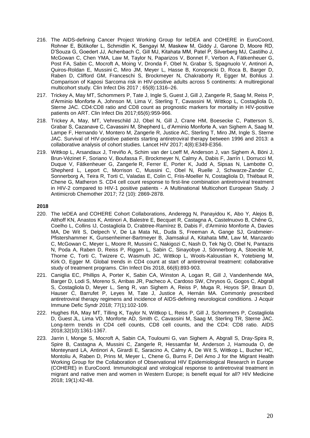- 216. The AIDS-defining Cancer Project Working Group for IeDEA and COHERE in EuroCoord, Rohner E, Bütikofer L, Schmidlin K, Sengayi M, Maskew M, Giddy J, Garone D, Moore RD, D'Souza G, Goedert JJ, Achenbach C, Gill MJ, Kitahata MM, Patel P, Silverberg MJ, Castilho J, McGowan C, Chen YMA, Law M, Taylor N, Paparizos V, Bonnet F, Verbon A, Fätkenheuer G, Post FA, Sabin C, Mocroft A, Moing V, Dronda F, Obel N, Grabar S, Spagnuolo V, Antinori A, Quiros-Roldan E, Mussini C, Miro JM, Meyer L, Hasse B, Konopnicki D, Roca B, Barger D, Raben D, Clifford GM, Franceschi S, Brockmeyer N, Chakraborty R, Egger M, Bohlius J. Comparison of Kaposi Sarcoma risk in HIV-positive adults across 5 continents: A multiregional multicohort study. Clin Infect Dis 2017 ; 65(8):1316–26.
- 217. Trickey A, May MT, Schommers P, Tate J, Ingle S, Guest J, Gill J, Zangerle R, Saag M, Reiss P, d'Arminio Monforte A, Johnson M, Lima V, Sterling T, Cavassini M, Wittkop L, Costagliola D, Sterne JAC. CD4:CD8 ratio and CD8 count as prognostic markers for mortality in HIV-positive patients on ART. Clin Infect Dis 2017;65(6):959-966.
- 218. Trickey A, May, MT, Vehreschild JJ, Obel N, Gill J, Crane HM, Boesecke C, Patterson S, Grabar S, Cazanave C, Cavassini M, Shepherd L, d'Arminio Monforte A, van Sighem A, Saag M, Lampe F, Hernando V, Montero M, Zangerle R, Justice AC, Sterling T, Miro JM, Ingle S, Sterne JAC. Survival of HIV-positive patients starting antiretroviral therapy between 1996 and 2013: a collaborative analysis of cohort studies. Lancet HIV 2017; 4(8):E349-E356.
- 219. Wittkop L, Arsandaux J, Treviño A, Schim van der Loeff M, Anderson J, van Sighem A, Böni J, Brun-Vézinet F, Soriano V, Boufassa F, Brockmeyer N, Calmy A, Dabis F, Jarrín I, Dorrucci M, Duque V, Fätkenheuer G, Zangerle R, Ferrer E, Porter K, Judd A, Sipsas N, Lambotte O, Shepherd L, Leport C, Morrison C, Mussini C, Obel N, Ruelle J, Schwarze-Zander C, Sonnerborg A, Teira R, Torti C, Valadas E, Colin C, Friis-Moeller N, Costagliola D, Thiébaut R, Chene G, Matheron S. CD4 cell count response to first-line combination antiretroviral treatment in HIV-2 compared to HIV-1 positive patients - A Multinational Multicohort European Study. J Antimicrob Chemother 2017; 72 (10): 2869-2878.

- 220. The IeDEA and COHERE Cohort Collaborations, Anderegg N, Panayidou K, Abo Y, Alejos B, Althoff KN, Anastos K, Antinori A, Balestre E, Becquet R, Castagna A, Castelnuovo B, Chêne G, Coelho L, Collins IJ, Costagliola D, Crabtree-Ramírez B, Dabis F, d'Arminio Monforte A, Davies MA, De Wit S, Delpech V, De La Mata NL, Duda S, Freeman A, Gange SJ, Grabmeier-Pfistershammer K, Gunsenheimer-Bartmeyer B, Jiamsakul A, Kitahata MM, Law M, Manzardo C, McGowan C, Meyer L, Moore R, Mussini C, Nakigozi C, Nash D, Tek Ng O, Obel N, Pantazis N, Poda A, Raben D, Reiss P, Riggen L, Sabin C, Sinayobye J, Sönnerborg A, Stoeckle M, Thorne C, Torti C, Twizere C, Wasmuth JC, Wittkop L, Wools-Kaloustian K, Yotebieng M, Kirk O, Egger M. Global trends in CD4 count at start of antiretroviral treatment: collaborative study of treatment programs. Clin Infect Dis 2018, 66(6):893-903.
- 221. [Caniglia EC,](https://www.ncbi.nlm.nih.gov/pubmed/?term=Caniglia%20EC%5BAuthor%5D&cauthor=true&cauthor_uid=28991888) [Phillips A,](https://www.ncbi.nlm.nih.gov/pubmed/?term=Phillips%20A%5BAuthor%5D&cauthor=true&cauthor_uid=28991888) [Porter K,](https://www.ncbi.nlm.nih.gov/pubmed/?term=Porter%20K%5BAuthor%5D&cauthor=true&cauthor_uid=28991888) [Sabin CA,](https://www.ncbi.nlm.nih.gov/pubmed/?term=Sabin%20CA%5BAuthor%5D&cauthor=true&cauthor_uid=28991888) [Winston A,](https://www.ncbi.nlm.nih.gov/pubmed/?term=Winston%20A%5BAuthor%5D&cauthor=true&cauthor_uid=28991888) [Logan R,](https://www.ncbi.nlm.nih.gov/pubmed/?term=Logan%20R%5BAuthor%5D&cauthor=true&cauthor_uid=28991888) [Gill J,](https://www.ncbi.nlm.nih.gov/pubmed/?term=Gill%20J%5BAuthor%5D&cauthor=true&cauthor_uid=28991888) [Vandenhende MA,](https://www.ncbi.nlm.nih.gov/pubmed/?term=Vandenhende%20MA%5BAuthor%5D&cauthor=true&cauthor_uid=28991888) [Barger D,](https://www.ncbi.nlm.nih.gov/pubmed/?term=Barger%20D%5BAuthor%5D&cauthor=true&cauthor_uid=28991888) [Lodi](https://www.ncbi.nlm.nih.gov/pubmed/?term=Lodi%20S%5BAuthor%5D&cauthor=true&cauthor_uid=28991888) S, [Moreno S,](https://www.ncbi.nlm.nih.gov/pubmed/?term=Moreno%20S%5BAuthor%5D&cauthor=true&cauthor_uid=28991888) [Arribas JR,](https://www.ncbi.nlm.nih.gov/pubmed/?term=Arribas%20JR%5BAuthor%5D&cauthor=true&cauthor_uid=28991888) [Pacheco A,](https://www.ncbi.nlm.nih.gov/pubmed/?term=Pacheco%20A%5BAuthor%5D&cauthor=true&cauthor_uid=28991888) [Cardoso SW,](https://www.ncbi.nlm.nih.gov/pubmed/?term=Cardoso%20SW%5BAuthor%5D&cauthor=true&cauthor_uid=28991888) [Chrysos G,](https://www.ncbi.nlm.nih.gov/pubmed/?term=Chrysos%20G%5BAuthor%5D&cauthor=true&cauthor_uid=28991888) [Gogos C,](https://www.ncbi.nlm.nih.gov/pubmed/?term=Gogos%20C%5BAuthor%5D&cauthor=true&cauthor_uid=28991888) [Abgrall](https://www.ncbi.nlm.nih.gov/pubmed/?term=Abgrall%20S%5BAuthor%5D&cauthor=true&cauthor_uid=28991888)  [S,](https://www.ncbi.nlm.nih.gov/pubmed/?term=Abgrall%20S%5BAuthor%5D&cauthor=true&cauthor_uid=28991888) [Costagliola](https://www.ncbi.nlm.nih.gov/pubmed/?term=Costagliola%20D%5BAuthor%5D&cauthor=true&cauthor_uid=28991888) D, [Meyer L,](https://www.ncbi.nlm.nih.gov/pubmed/?term=Meyer%20L%5BAuthor%5D&cauthor=true&cauthor_uid=28991888) [Seng R,](https://www.ncbi.nlm.nih.gov/pubmed/?term=Seng%20R%5BAuthor%5D&cauthor=true&cauthor_uid=28991888) [van Sighem A,](https://www.ncbi.nlm.nih.gov/pubmed/?term=van%20Sighem%20A%5BAuthor%5D&cauthor=true&cauthor_uid=28991888) [Reiss P,](https://www.ncbi.nlm.nih.gov/pubmed/?term=Reiss%20P%5BAuthor%5D&cauthor=true&cauthor_uid=28991888) [Muga R,](https://www.ncbi.nlm.nih.gov/pubmed/?term=Muga%20R%5BAuthor%5D&cauthor=true&cauthor_uid=28991888) [Hoyos SP,](https://www.ncbi.nlm.nih.gov/pubmed/?term=Hoyos%20SP%5BAuthor%5D&cauthor=true&cauthor_uid=28991888) [Braun D,](https://www.ncbi.nlm.nih.gov/pubmed/?term=Braun%20D%5BAuthor%5D&cauthor=true&cauthor_uid=28991888) [Hauser C,](https://www.ncbi.nlm.nih.gov/pubmed/?term=Hauser%20C%5BAuthor%5D&cauthor=true&cauthor_uid=28991888) [Barrufet P,](https://www.ncbi.nlm.nih.gov/pubmed/?term=Barrufet%20P%5BAuthor%5D&cauthor=true&cauthor_uid=28991888) [Leyes M,](https://www.ncbi.nlm.nih.gov/pubmed/?term=Leyes%20M%5BAuthor%5D&cauthor=true&cauthor_uid=28991888) [Tate J,](https://www.ncbi.nlm.nih.gov/pubmed/?term=Tate%20J%5BAuthor%5D&cauthor=true&cauthor_uid=28991888) [Justice A,](https://www.ncbi.nlm.nih.gov/pubmed/?term=Justice%20A%5BAuthor%5D&cauthor=true&cauthor_uid=28991888) [Hernán MA.](https://www.ncbi.nlm.nih.gov/pubmed/?term=Hern%C3%A1n%20MA%5BAuthor%5D&cauthor=true&cauthor_uid=28991888) Commonly prescribed antiretroviral therapy regimens and incidence of AIDS-defining neurological conditions. J Acquir Immune Defic Syndr 2018; 77(1):102-109.
- 222. Hughes RA, May MT, Tilling K, Taylor N, Wittkop L, Reiss P, Gill J, Schommers P, Costagliola D, Guest JL, Lima VD, Monforte AD, Smith C, Cavassini M, Saag M, Sterling TR, Sterne JAC. [Long-term trends in CD4 cell counts, CD8 cell counts, and the CD4: CD8 ratio.](https://www.ncbi.nlm.nih.gov/pubmed/29734221) AIDS 2018;32(10):1361-1367.
- 223. Jarrin I, Monge S, Mocroft A, Sabin CA, Touloumi G, van Sighem A, Abgrall S, Dray-Spira R, Spire B, Castagna A, Mussini C, Zangerle R, Hessamfar M, Anderson J, Hamouda O, de Monteynard LA, Antinori A, Girardi E, Saracino A, Calmy A, De Wit S, Wittkop L, Bucher HC, Montoliu A, Raben D, Prins M, Meyer L, Chene G, Burns F, Del Amo J for the Migrant Health Working Group for the Collaboration of Observational HIV Epidemiological Research in Europe (COHERE) in EuroCoord. [Immunological and virological response to antiretroviral treatment in](https://www.ncbi.nlm.nih.gov/pubmed/28741837)  [migrant and native men and women in Western Europe; is benefit equal for all?](https://www.ncbi.nlm.nih.gov/pubmed/28741837) HIV Medicine 2018; 19(1):42-48.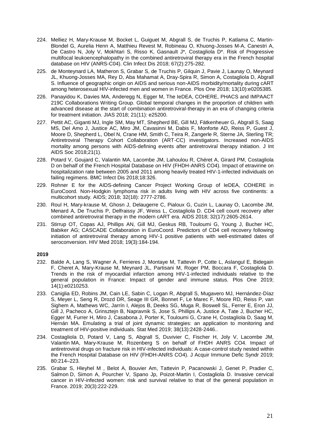- 224. Melliez H, Mary-Krause M, Bocket L, Guiguet M, Abgrall S, de Truchis P, Katlama C, Martin-Blondel G, Aurelia Henn A, Matthieu Revest M, Robineau O, Khuong-Josses M-A, Canestri A, De Castro N, Joly V, Mokhtari S, Risso K, Gasnault J\*, Costagliola D\*. Risk of Progressive multifocal leukoencephalopathy in the combined antiretroviral therapy era in the French hospital database on HIV (ANRS-C04). Clin Infect Dis 2018; 67(2):275-282.
- 225. de Monteynard LA, Matheron S, Grabar S, de Truchis P, Gilquin J, Pavie J, Launay O, Meynard JL, Khuong-Josses MA, Rey D, Aba Mahamat A, Dray-Spira R, Simon A, Costagliola D, Abgrall S. Influence of geographic origin on AIDS and serious non-AIDS morbidity/mortality during cART among heterosexual HIV-infected men and women in France. Plos One 2018; 13(10):e0205385.
- 226. Panayidou K, Davies MA, Anderegg N, Egger M, The IeDEA, COHERE, PHACS and IMPAACT 219C Collaborations Writing Group. Global temporal changes in the proportion of children with advanced disease at the start of combination antiretroviral-therapy in an era of changing criteria for treatment initiation. JIAS 2018; 21(11): e25200.
- 227. Pettit AC, Giganti MJ, Ingle SM, May MT, Shepherd BE, Gill MJ, Fätkenheuer G, Abgrall S, Saag MS, Del Amo J, Justice AC, Miro JM, Cavasinni M, Dabis F, Monforte AD, Reiss P, Guest J, Moore D, Shepherd L, Obel N, Crane HM, Smith C, Teira R, Zangerle R, Sterne JA, Sterling TR; Antiretroviral Therapy Cohort Collaboration (ART-CC) investigators. [Increased non-AIDS](https://www.ncbi.nlm.nih.gov/pubmed/29334197)  [mortality among persons with AIDS-defining events after antiretroviral therapy initiation.](https://www.ncbi.nlm.nih.gov/pubmed/29334197) J Int AIDS Soc 2018;21(1).
- 228. Potard V, Goujard C, Valantin MA, Lacombe JM, Lahoulou R, Chéret A, Girard PM, Costagliola D on behalf of the French Hospital Database on HIV (FHDH-ANRS CO4). Impact of etravirine on hospitalization rate between 2005 and 2011 among heavily treated HIV-1-infected individuals on failing regimens. BMC Infect Dis 2018;18:326.
- 229. Rohner E for the AIDS-defining Cancer Project Working Group of IeDEA, COHERE in EuroCoord. [Non-Hodgkin lymphoma risk in adults living with HIV across five continents: a](https://www.ncbi.nlm.nih.gov/pubmed/30234606)  [multicohort study.](https://www.ncbi.nlm.nih.gov/pubmed/30234606) AIDS; 2018; 32(18): 2777-2786.
- 230. Roul H, Mary-krause M, Ghosn J, Delaugerre C, Pialoux G, Cuzin L, Launay O, Lacombe JM, Menard A, De Truchis P, Delfraissy JF, Weiss L, Costagliola D. CD4 cell count recovery after combined antiretroviral therapy in the modern cART era. AIDS 2018; 32(17):2605-2614.
- 231. Stirrup OT, Copas AJ, Phillips AN, Gill MJ, Geskus RB, Touloumi G, Young J, Bucher HC, Babiker AG; CASCADE Collaboration in EuroCoord. [Predictors of CD4 cell recovery following](https://www.ncbi.nlm.nih.gov/pubmed/29230953)  [initiation of antiretroviral therapy among HIV-1 positive patients with well-estimated dates of](https://www.ncbi.nlm.nih.gov/pubmed/29230953)  [seroconversion.](https://www.ncbi.nlm.nih.gov/pubmed/29230953) HIV Med 2018; 19(3):184-194.

- 232. Balde A, Lang S, Wagner A, Ferrieres J, Montaye M, Tattevin P, Cotte L, Aslangul E, Bidegain F, Cheret A, Mary-Krause M, Meynard JL, Partisani M, Roger PM, Boccara F, Costagliola D. Trends in the risk of myocardial infarction among HIV-1-infected individuals relative to the general population in France: Impact of gender and immune status. Plos One 2019; 14(1):e0210253.
- 233. Caniglia ED, Robins JM, Cain LE, Sabin C, Logan R, Abgrall S, Mugavero MJ, Hernández-Díaz S, Meyer L, Seng R, Drozd DR, Seage III GR, Bonnet F, Le Marec F, Moore RD, Reiss P, van Sighem A, Mathews WC, Jarrín I, Alejos B, Deeks SG, Muga R, Boswell SL, Ferrer E, Eron JJ, Gill J, Pacheco A, Grinsztejn B, Napravnik S, Jose S, Phillips A, Justice A, Tate J, Bucher HC, Egger M, Furrer H, Miro J, Casabona J, Porter K, Touloumi G, Crane H, Costagliola D, Saag M, Hernán MA. Emulating a trial of joint dynamic strategies: an application to monitoring and treatment of HIV-positive individuals. Stat Med 2019; 38(13):2428-2446..
- 234. Costagliola D, Potard V, Lang S, Abgrall S, Duvivier C, Fischer H, Joly V, Lacombe JM, Valantin MA, Mary-Krause M, Rozenberg S on behalf of FHDH ANRS CO4. Impact of antiretroviral drugs on fracture risk in HIV-infected individuals: A case-control study nested within the French Hospital Database on HIV (FHDH-ANRS CO4). J Acquir Immune Defic Syndr 2019; 80:214–223.
- 235. Grabar S, Hleyhel M , Belot A, Bouvier Am, Tattevin P, Pacanowski J, Genet P, Pradier C, Salmon D, Simon A, Pourcher V, Spano Jp, Poizot-Martin I, Costagliola D. Invasive cervical cancer in HIV-infected women: risk and survival relative to that of the general population in France. 2019; 20(3):222-229.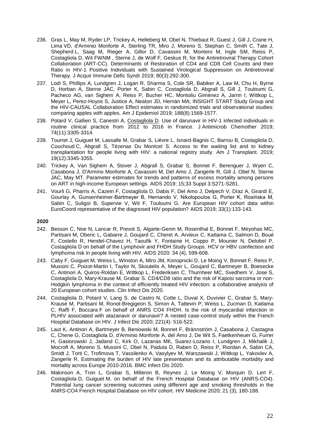- 236. Gras L, May M, Ryder LP, Trickey A, Helleberg M, Obel N, Thiebaut R, Guest J, Gill J, Crane H, Lima VD, d'Arminio Monforte A, Sterling TR, Miro J, Moreno S, Stephan C, Smith C, Tate J, Shepherd L, Saag M, Rieger A, Gillor D, Cavassini M, Montero M, Ingle SM, Reiss P, Costagliola D, Wit FWNM , Sterne J, de Wolf F, Geskus R, for the Antiretroviral Therapy Cohort Collaboration (ART-CC). Determinants of Restoration of CD4 and CD8 Cell Counts and their Ratio in HIV-1 Positive Individuals with Sustained Virological Suppression on Antiretroviral Therapy. J Acquir Immune Defic Syndr 2019; 80(3):292-300.
- 237. Lodi S, Phillips A, Lundgren J, Logan R, Sharma S, Cole SR, Babiker A, Law M, Chu H, Byrne D, Horban A, Sterne JAC, Porter K, Sabin C, Costagliola D, Abgrall S, Gill J, Touloumi G, Pacheco AG, van Sighem A, Reiss P, Bucher HC, Montoliu Giménez A, Jarrin I, Wittkop L, Meyer L, Perez-Hoyos S, Justice A, Neaton JD, Hernán MA; INSIGHT START Study Group and the HIV-CAUSAL Collaboration [Effect estimates in randomized trials and observational studies:](https://www.ncbi.nlm.nih.gov/pubmed/31063192)  [comparing apples with apples.](https://www.ncbi.nlm.nih.gov/pubmed/31063192) Am J Epidemiol 2019; 188(8):1569-1577.
- 238. Potard V, Gallien S, Canestri A, Costagliola D. Use of darunavir in HIV-1 infected individuals in routine clinical practice from 2012 to 2016 in France. J Antimicrob Chemother 2019; 74(11):3305-3314.
- 239. Tourret J, Guiguet M, Lassalle M, Grabar S, Lièvre L, Isnard-Bagnis C, Barrou B, Costagliola D, Couchoud C, Abgrall S, Tézenas Du Montcel S. [Access to the waiting list and to kidney](https://www.ncbi.nlm.nih.gov/pubmed/31206243)  [transplantation for people living with HIV: a national registry study.](https://www.ncbi.nlm.nih.gov/pubmed/31206243) Am J Transplant. 2019; 19(12):3345-3355.
- 240. Trickey A, Van Sighem A, Stover J, Abgrall S, Grabar S, Bonnet F, Berenguer J, Wyen C, Casabona J, D'Armino Monforte A, Cavassini M, Del Amo J, Zangerle R, Gill J, Obel N, Sterne JAC, May MT. Parameter estimates for trends and patterns of excess mortality among persons on ART in high-income European settings. AIDS 2019; 15;33 Suppl 3:S271-S281.
- 241. Vourli G, Pharris A, Cazein F, Costagliola D, Dabis F, Del Amo J, Delpech V, Díaz A, Girardi E, Gourlay A, Gunsenheimer-Bartmeyer B, Hernando V, Nikolopoulos G, Porter K, Rosińska M, Sabin C, Suligoi B, Supervie V, Wit F, Touloumi G. Are European HIV cohort data within EuroCoord representative of the diagnosed HIV population? AIDS 2019; 33(1):133-143.

- 242. Besson C, Noe N, Lancar R, Prevot S, Algarte-Genin M, Rosenthal E, Bonnet F, Meyohas MC, Partisani M, Oberic L, Gabarre J, Goujard C, Cheret A, Arvieux C, Katlama C, Salmon D, Boué F, Costello R, Hendel-Chavez H, Taoufik Y, Fontaine H, Coppo P, Mounier N, Delobel P, Costagliola D on behalf of the Lymphovir and FHDH Study Groups. HCV or HBV coinfection and lymphoma risk in people living with HIV. AIDS 2020: 34 (4), 599-608.
- 243. Caby F, Guiguet M, Weiss L, Winston A, Miro JM, Konopnicki D, Le Moing V, Bonnet F, Reiss P, Mussini C, Poizot-Martin I, Taylor N, Skoutelis A, Meyer L, Goujard C, Bartmeyer B, Boesecke C, Antinori A, Quiros-Roldan E, Wittkop L, Frederiksen C, Thurnheer MC, Svedhem V, Jose S, Costagliola D, Mary-Krause M, Grabar S. CD4/CD8 ratio and the risk of Kaposi sarcoma or non-Hodgkin lymphoma in the context of efficiently treated HIV infection: a collaborative analysis of 20 European cohort studies. Clin Infect Dis 2020.
- 244. Costagliola D, Potard V, Lang S, de Castro N, Cotte L, Duval X, Duvivier C, Grabar S, Mary-Krause M, Partisani M, Ronot-Bregigeon S, Simon A, Tattevin P, Weiss L, Zucman D, Katlama C, Raffi F, Boccara F on behalf of ANRS CO4 FHDH. Is the risk of myocardial infarction in PLHIV associated with atazanavir or darunavir? A nested case-control study within the French Hospital Database on HIV. J Infect Dis 2020; 221(4): 516-522.
- 245. Laut K, Antinori A, Bartmeyer B, Beniowski M, Bonnet F, Brännström J, Casabona J, Castagna C, Chene G, Costagliola D, d'Arminio Monforte A, del Amo J, De Wit S, Faetkenheuer G, Furrer H, Gasiorowski J, Jadand C, Kirk O, Lazanas MK, Suarez-Lozano I, Lundgren J, Mikhalik J, Mocroft A, Moreno S, Mussini C, Obel N, Paduta D, Raben D, Reiss P, Riordan A, Sabin CA, Smidt J, Torti C, Trofimova T, Vassilenko A, Vasylyev M, Warszawski J, Wittkop L, Yakovlev A, Zangerle R. Estimating the burden of HIV late presentation and its attributable morbidity and mortality across Europe 2010-2016. BMC Infect Dis 2020.
- 246. Makinson A, Tron L, Grabar S, Milleron B, Reynes J, Le Moing V, Morquin D, Lert F, Costagliola D, Guiguet M, on behalf of the French Hospital Database on HIV (ANRS-CO4). [Potential lung cancer screening outcomes using different age and smoking thresholds in the](https://www.ncbi.nlm.nih.gov/pubmed/31730270)  [ANRS-CO4 French Hospital Database on HIV cohort.](https://www.ncbi.nlm.nih.gov/pubmed/31730270) HIV Medicine 2020; 21 (3), 180-188.